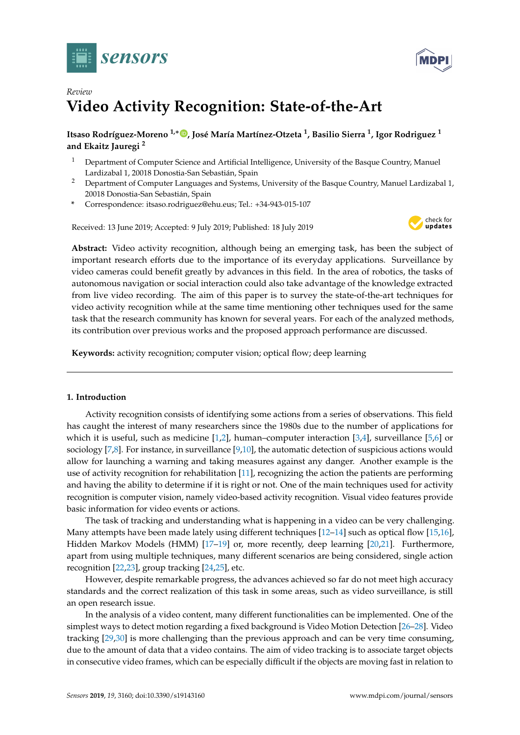



# *Review* **Video Activity Recognition: State-of-the-Art**

# **Itsaso Rodríguez-Moreno 1,**<sup>∗</sup> **[,](https://orcid.org/0000-0001-8471-9765) José María Martínez-Otzeta <sup>1</sup> , Basilio Sierra <sup>1</sup> , Igor Rodriguez <sup>1</sup> and Ekaitz Jauregi <sup>2</sup>**

- <sup>1</sup> Department of Computer Science and Artificial Intelligence, University of the Basque Country, Manuel Lardizabal 1, 20018 Donostia-San Sebastián, Spain
- <sup>2</sup> Department of Computer Languages and Systems, University of the Basque Country, Manuel Lardizabal 1, 20018 Donostia-San Sebastián, Spain
- **\*** Correspondence: itsaso.rodriguez@ehu.eus; Tel.: +34-943-015-107

Received: 13 June 2019; Accepted: 9 July 2019; Published: 18 July 2019



**Abstract:** Video activity recognition, although being an emerging task, has been the subject of important research efforts due to the importance of its everyday applications. Surveillance by video cameras could benefit greatly by advances in this field. In the area of robotics, the tasks of autonomous navigation or social interaction could also take advantage of the knowledge extracted from live video recording. The aim of this paper is to survey the state-of-the-art techniques for video activity recognition while at the same time mentioning other techniques used for the same task that the research community has known for several years. For each of the analyzed methods, its contribution over previous works and the proposed approach performance are discussed.

**Keywords:** activity recognition; computer vision; optical flow; deep learning

## **1. Introduction**

Activity recognition consists of identifying some actions from a series of observations. This field has caught the interest of many researchers since the 1980s due to the number of applications for which it is useful, such as medicine [\[1,](#page-17-0)[2\]](#page-17-1), human–computer interaction [\[3,](#page-17-2)[4\]](#page-17-3), surveillance [\[5,](#page-17-4)[6\]](#page-17-5) or sociology [\[7,](#page-17-6)[8\]](#page-17-7). For instance, in surveillance [\[9,](#page-17-8)[10\]](#page-17-9), the automatic detection of suspicious actions would allow for launching a warning and taking measures against any danger. Another example is the use of activity recognition for rehabilitation [\[11\]](#page-17-10), recognizing the action the patients are performing and having the ability to determine if it is right or not. One of the main techniques used for activity recognition is computer vision, namely video-based activity recognition. Visual video features provide basic information for video events or actions.

The task of tracking and understanding what is happening in a video can be very challenging. Many attempts have been made lately using different techniques [\[12](#page-17-11)[–14\]](#page-17-12) such as optical flow [\[15,](#page-17-13)[16\]](#page-17-14), Hidden Markov Models (HMM) [\[17–](#page-17-15)[19\]](#page-17-16) or, more recently, deep learning [\[20](#page-17-17)[,21\]](#page-18-0). Furthermore, apart from using multiple techniques, many different scenarios are being considered, single action recognition [\[22](#page-18-1)[,23\]](#page-18-2), group tracking [\[24](#page-18-3)[,25\]](#page-18-4), etc.

However, despite remarkable progress, the advances achieved so far do not meet high accuracy standards and the correct realization of this task in some areas, such as video surveillance, is still an open research issue.

In the analysis of a video content, many different functionalities can be implemented. One of the simplest ways to detect motion regarding a fixed background is Video Motion Detection [\[26–](#page-18-5)[28\]](#page-18-6). Video tracking [\[29,](#page-18-7)[30\]](#page-18-8) is more challenging than the previous approach and can be very time consuming, due to the amount of data that a video contains. The aim of video tracking is to associate target objects in consecutive video frames, which can be especially difficult if the objects are moving fast in relation to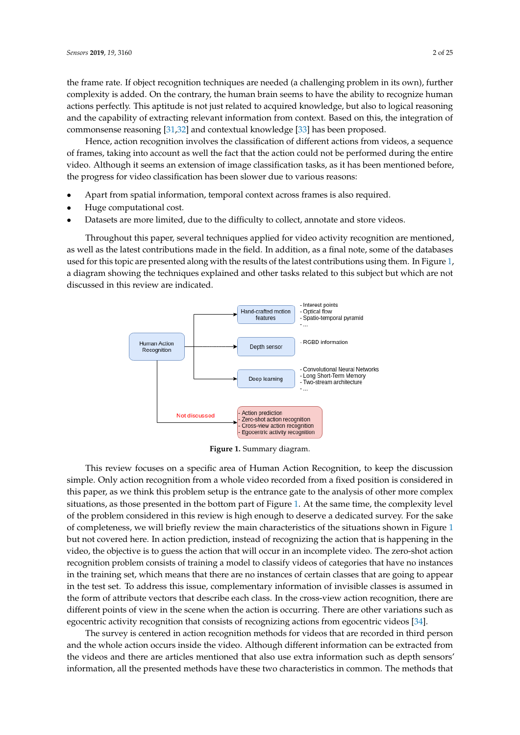the frame rate. If object recognition techniques are needed (a challenging problem in its own), further complexity is added. On the contrary, the human brain seems to have the ability to recognize human actions perfectly. This aptitude is not just related to acquired knowledge, but also to logical reasoning and the capability of extracting relevant information from context. Based on this, the integration of commonsense reasoning [\[31](#page-18-9)[,32\]](#page-18-10) and contextual knowledge [\[33\]](#page-18-11) has been proposed.

Hence, action recognition involves the classification of different actions from videos, a sequence of frames, taking into account as well the fact that the action could not be performed during the entire video. Although it seems an extension of image classification tasks, as it has been mentioned before, the progress for video classification has been slower due to various reasons:

- Apart from spatial information, temporal context across frames is also required.
- Huge computational cost.
- Datasets are more limited, due to the difficulty to collect, annotate and store videos.

Throughout this paper, several techniques applied for video activity recognition are mentioned, as well as the latest contributions made in the field. In addition, as a final note, some of the databases used for this topic are presented along with the results of the latest contributions using them. In Figure [1,](#page-1-0) a diagram showing the techniques explained and other tasks related to this subject but which are not discussed in this review are indicated.

<span id="page-1-0"></span>

**Figure 1.** Summary diagram.

This review focuses on a specific area of Human Action Recognition, to keep the discussion simple. Only action recognition from a whole video recorded from a fixed position is considered in this paper, as we think this problem setup is the entrance gate to the analysis of other more complex situations, as those presented in the bottom part of Figure [1.](#page-1-0) At the same time, the complexity level of the problem considered in this review is high enough to deserve a dedicated survey. For the sake of completeness, we will briefly review the main characteristics of the situations shown in Figure [1](#page-1-0) but not covered here. In action prediction, instead of recognizing the action that is happening in the video, the objective is to guess the action that will occur in an incomplete video. The zero-shot action recognition problem consists of training a model to classify videos of categories that have no instances in the training set, which means that there are no instances of certain classes that are going to appear in the test set. To address this issue, complementary information of invisible classes is assumed in the form of attribute vectors that describe each class. In the cross-view action recognition, there are different points of view in the scene when the action is occurring. There are other variations such as egocentric activity recognition that consists of recognizing actions from egocentric videos [\[34\]](#page-18-12).

The survey is centered in action recognition methods for videos that are recorded in third person and the whole action occurs inside the video. Although different information can be extracted from the videos and there are articles mentioned that also use extra information such as depth sensors' information, all the presented methods have these two characteristics in common. The methods that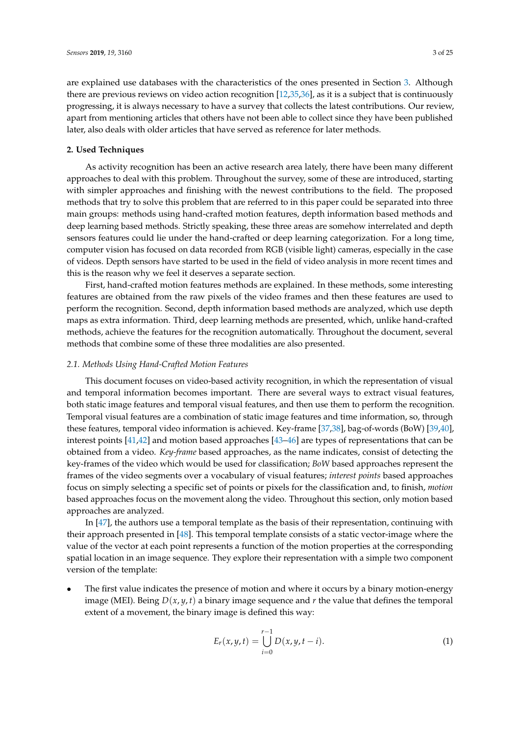are explained use databases with the characteristics of the ones presented in Section [3.](#page-11-0) Although there are previous reviews on video action recognition [\[12,](#page-17-11)[35,](#page-18-13)[36\]](#page-18-14), as it is a subject that is continuously progressing, it is always necessary to have a survey that collects the latest contributions. Our review, apart from mentioning articles that others have not been able to collect since they have been published later, also deals with older articles that have served as reference for later methods.

## **2. Used Techniques**

As activity recognition has been an active research area lately, there have been many different approaches to deal with this problem. Throughout the survey, some of these are introduced, starting with simpler approaches and finishing with the newest contributions to the field. The proposed methods that try to solve this problem that are referred to in this paper could be separated into three main groups: methods using hand-crafted motion features, depth information based methods and deep learning based methods. Strictly speaking, these three areas are somehow interrelated and depth sensors features could lie under the hand-crafted or deep learning categorization. For a long time, computer vision has focused on data recorded from RGB (visible light) cameras, especially in the case of videos. Depth sensors have started to be used in the field of video analysis in more recent times and this is the reason why we feel it deserves a separate section.

First, hand-crafted motion features methods are explained. In these methods, some interesting features are obtained from the raw pixels of the video frames and then these features are used to perform the recognition. Second, depth information based methods are analyzed, which use depth maps as extra information. Third, deep learning methods are presented, which, unlike hand-crafted methods, achieve the features for the recognition automatically. Throughout the document, several methods that combine some of these three modalities are also presented.

## *2.1. Methods Using Hand-Crafted Motion Features*

This document focuses on video-based activity recognition, in which the representation of visual and temporal information becomes important. There are several ways to extract visual features, both static image features and temporal visual features, and then use them to perform the recognition. Temporal visual features are a combination of static image features and time information, so, through these features, temporal video information is achieved. Key-frame [\[37,](#page-18-15)[38\]](#page-18-16), bag-of-words (BoW) [\[39](#page-18-17)[,40\]](#page-18-18), interest points [\[41,](#page-18-19)[42\]](#page-18-20) and motion based approaches [\[43](#page-18-21)[–46\]](#page-19-0) are types of representations that can be obtained from a video. *Key-frame* based approaches, as the name indicates, consist of detecting the key-frames of the video which would be used for classification; *BoW* based approaches represent the frames of the video segments over a vocabulary of visual features; *interest points* based approaches focus on simply selecting a specific set of points or pixels for the classification and, to finish, *motion* based approaches focus on the movement along the video. Throughout this section, only motion based approaches are analyzed.

In [\[47\]](#page-19-1), the authors use a temporal template as the basis of their representation, continuing with their approach presented in [\[48\]](#page-19-2). This temporal template consists of a static vector-image where the value of the vector at each point represents a function of the motion properties at the corresponding spatial location in an image sequence. They explore their representation with a simple two component version of the template:

The first value indicates the presence of motion and where it occurs by a binary motion-energy image (MEI). Being  $D(x, y, t)$  a binary image sequence and  $r$  the value that defines the temporal extent of a movement, the binary image is defined this way:

$$
E_r(x, y, t) = \bigcup_{i=0}^{r-1} D(x, y, t-i).
$$
 (1)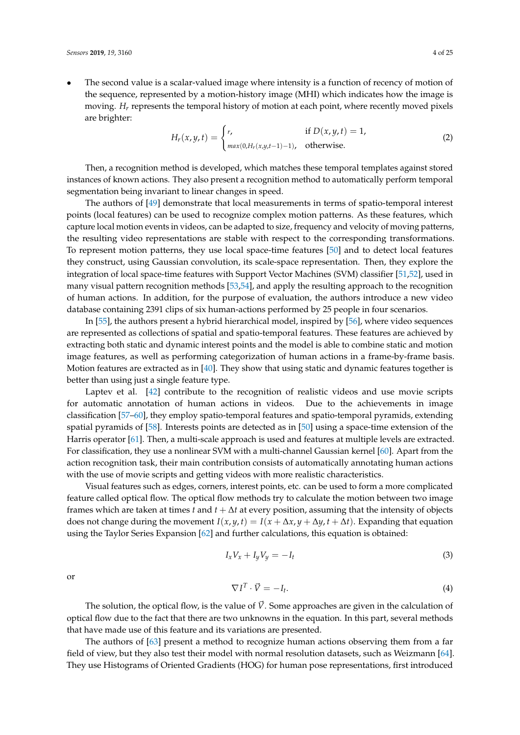The second value is a scalar-valued image where intensity is a function of recency of motion of the sequence, represented by a motion-history image (MHI) which indicates how the image is moving. *H<sup>r</sup>* represents the temporal history of motion at each point, where recently moved pixels are brighter:

$$
H_r(x, y, t) = \begin{cases} r, & \text{if } D(x, y, t) = 1, \\ \max(0, H_r(x, y, t-1) - 1), & \text{otherwise.} \end{cases}
$$
 (2)

Then, a recognition method is developed, which matches these temporal templates against stored instances of known actions. They also present a recognition method to automatically perform temporal segmentation being invariant to linear changes in speed.

The authors of [\[49\]](#page-19-3) demonstrate that local measurements in terms of spatio-temporal interest points (local features) can be used to recognize complex motion patterns. As these features, which capture local motion events in videos, can be adapted to size, frequency and velocity of moving patterns, the resulting video representations are stable with respect to the corresponding transformations. To represent motion patterns, they use local space-time features [\[50\]](#page-19-4) and to detect local features they construct, using Gaussian convolution, its scale-space representation. Then, they explore the integration of local space-time features with Support Vector Machines (SVM) classifier [\[51,](#page-19-5)[52\]](#page-19-6), used in many visual pattern recognition methods [\[53,](#page-19-7)[54\]](#page-19-8), and apply the resulting approach to the recognition of human actions. In addition, for the purpose of evaluation, the authors introduce a new video database containing 2391 clips of six human-actions performed by 25 people in four scenarios.

In [\[55\]](#page-19-9), the authors present a hybrid hierarchical model, inspired by [\[56\]](#page-19-10), where video sequences are represented as collections of spatial and spatio-temporal features. These features are achieved by extracting both static and dynamic interest points and the model is able to combine static and motion image features, as well as performing categorization of human actions in a frame-by-frame basis. Motion features are extracted as in [\[40\]](#page-18-18). They show that using static and dynamic features together is better than using just a single feature type.

Laptev et al. [\[42\]](#page-18-20) contribute to the recognition of realistic videos and use movie scripts for automatic annotation of human actions in videos. Due to the achievements in image classification [\[57–](#page-19-11)[60\]](#page-19-12), they employ spatio-temporal features and spatio-temporal pyramids, extending spatial pyramids of [\[58\]](#page-19-13). Interests points are detected as in [\[50\]](#page-19-4) using a space-time extension of the Harris operator [\[61\]](#page-19-14). Then, a multi-scale approach is used and features at multiple levels are extracted. For classification, they use a nonlinear SVM with a multi-channel Gaussian kernel [\[60\]](#page-19-12). Apart from the action recognition task, their main contribution consists of automatically annotating human actions with the use of movie scripts and getting videos with more realistic characteristics.

Visual features such as edges, corners, interest points, etc. can be used to form a more complicated feature called optical flow. The optical flow methods try to calculate the motion between two image frames which are taken at times *t* and  $t + \Delta t$  at every position, assuming that the intensity of objects does not change during the movement  $I(x, y, t) = I(x + \Delta x, y + \Delta y, t + \Delta t)$ . Expanding that equation using the Taylor Series Expansion [\[62\]](#page-19-15) and further calculations, this equation is obtained:

$$
I_x V_x + I_y V_y = -I_t \tag{3}
$$

or

$$
\nabla I^T \cdot \vec{V} = -I_t. \tag{4}
$$

The solution, the optical flow, is the value of  $\vec{V}$ . Some approaches are given in the calculation of optical flow due to the fact that there are two unknowns in the equation. In this part, several methods that have made use of this feature and its variations are presented.

The authors of [\[63\]](#page-19-16) present a method to recognize human actions observing them from a far field of view, but they also test their model with normal resolution datasets, such as Weizmann [\[64\]](#page-19-17). They use Histograms of Oriented Gradients (HOG) for human pose representations, first introduced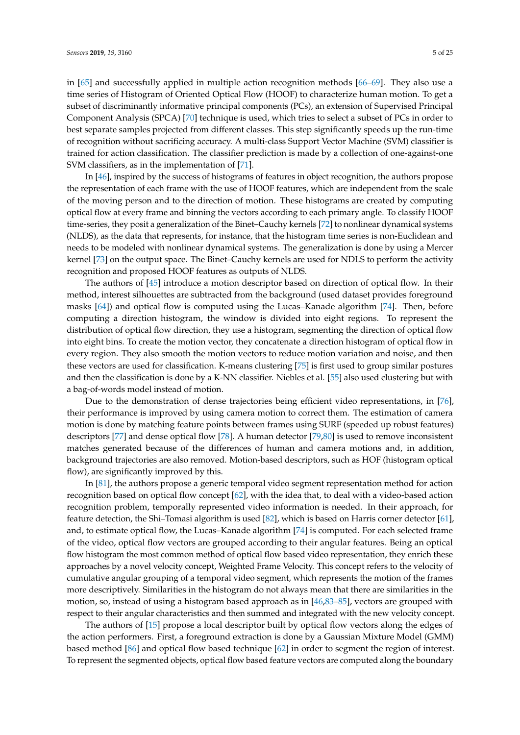in [\[65\]](#page-19-18) and successfully applied in multiple action recognition methods [\[66](#page-20-0)[–69\]](#page-20-1). They also use a time series of Histogram of Oriented Optical Flow (HOOF) to characterize human motion. To get a subset of discriminantly informative principal components (PCs), an extension of Supervised Principal Component Analysis (SPCA) [\[70\]](#page-20-2) technique is used, which tries to select a subset of PCs in order to best separate samples projected from different classes. This step significantly speeds up the run-time of recognition without sacrificing accuracy. A multi-class Support Vector Machine (SVM) classifier is trained for action classification. The classifier prediction is made by a collection of one-against-one SVM classifiers, as in the implementation of [\[71\]](#page-20-3).

In [\[46\]](#page-19-0), inspired by the success of histograms of features in object recognition, the authors propose the representation of each frame with the use of HOOF features, which are independent from the scale of the moving person and to the direction of motion. These histograms are created by computing optical flow at every frame and binning the vectors according to each primary angle. To classify HOOF time-series, they posit a generalization of the Binet–Cauchy kernels [\[72\]](#page-20-4) to nonlinear dynamical systems (NLDS), as the data that represents, for instance, that the histogram time series is non-Euclidean and needs to be modeled with nonlinear dynamical systems. The generalization is done by using a Mercer kernel [\[73\]](#page-20-5) on the output space. The Binet–Cauchy kernels are used for NDLS to perform the activity recognition and proposed HOOF features as outputs of NLDS.

The authors of [\[45\]](#page-19-19) introduce a motion descriptor based on direction of optical flow. In their method, interest silhouettes are subtracted from the background (used dataset provides foreground masks [\[64\]](#page-19-17)) and optical flow is computed using the Lucas–Kanade algorithm [\[74\]](#page-20-6). Then, before computing a direction histogram, the window is divided into eight regions. To represent the distribution of optical flow direction, they use a histogram, segmenting the direction of optical flow into eight bins. To create the motion vector, they concatenate a direction histogram of optical flow in every region. They also smooth the motion vectors to reduce motion variation and noise, and then these vectors are used for classification. K-means clustering [\[75\]](#page-20-7) is first used to group similar postures and then the classification is done by a K-NN classifier. Niebles et al. [\[55\]](#page-19-9) also used clustering but with a bag-of-words model instead of motion.

Due to the demonstration of dense trajectories being efficient video representations, in [\[76\]](#page-20-8), their performance is improved by using camera motion to correct them. The estimation of camera motion is done by matching feature points between frames using SURF (speeded up robust features) descriptors [\[77\]](#page-20-9) and dense optical flow [\[78\]](#page-20-10). A human detector [\[79,](#page-20-11)[80\]](#page-20-12) is used to remove inconsistent matches generated because of the differences of human and camera motions and, in addition, background trajectories are also removed. Motion-based descriptors, such as HOF (histogram optical flow), are significantly improved by this.

In [\[81\]](#page-20-13), the authors propose a generic temporal video segment representation method for action recognition based on optical flow concept [\[62\]](#page-19-15), with the idea that, to deal with a video-based action recognition problem, temporally represented video information is needed. In their approach, for feature detection, the Shi–Tomasi algorithm is used [\[82\]](#page-20-14), which is based on Harris corner detector [\[61\]](#page-19-14), and, to estimate optical flow, the Lucas–Kanade algorithm [\[74\]](#page-20-6) is computed. For each selected frame of the video, optical flow vectors are grouped according to their angular features. Being an optical flow histogram the most common method of optical flow based video representation, they enrich these approaches by a novel velocity concept, Weighted Frame Velocity. This concept refers to the velocity of cumulative angular grouping of a temporal video segment, which represents the motion of the frames more descriptively. Similarities in the histogram do not always mean that there are similarities in the motion, so, instead of using a histogram based approach as in [\[46,](#page-19-0)[83](#page-20-15)[–85\]](#page-20-16), vectors are grouped with respect to their angular characteristics and then summed and integrated with the new velocity concept.

The authors of [\[15\]](#page-17-13) propose a local descriptor built by optical flow vectors along the edges of the action performers. First, a foreground extraction is done by a Gaussian Mixture Model (GMM) based method [\[86\]](#page-20-17) and optical flow based technique [\[62\]](#page-19-15) in order to segment the region of interest. To represent the segmented objects, optical flow based feature vectors are computed along the boundary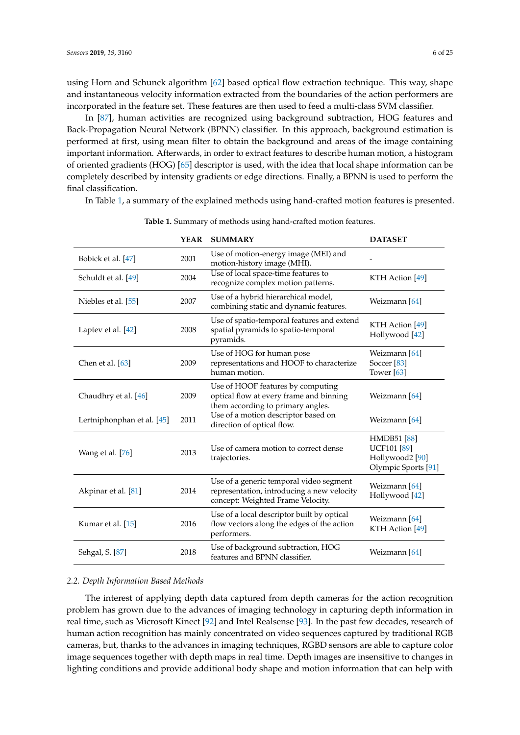using Horn and Schunck algorithm [\[62\]](#page-19-15) based optical flow extraction technique. This way, shape and instantaneous velocity information extracted from the boundaries of the action performers are incorporated in the feature set. These features are then used to feed a multi-class SVM classifier.

In [\[87\]](#page-20-18), human activities are recognized using background subtraction, HOG features and Back-Propagation Neural Network (BPNN) classifier. In this approach, background estimation is performed at first, using mean filter to obtain the background and areas of the image containing important information. Afterwards, in order to extract features to describe human motion, a histogram of oriented gradients (HOG) [\[65\]](#page-19-18) descriptor is used, with the idea that local shape information can be completely described by intensity gradients or edge directions. Finally, a BPNN is used to perform the final classification.

In Table [1,](#page-5-0) a summary of the explained methods using hand-crafted motion features is presented.

<span id="page-5-0"></span>

|                            | <b>YEAR</b> | <b>SUMMARY</b>                                                                                                             | <b>DATASET</b>                                                                                |
|----------------------------|-------------|----------------------------------------------------------------------------------------------------------------------------|-----------------------------------------------------------------------------------------------|
| Bobick et al. [47]         | 2001        | Use of motion-energy image (MEI) and<br>motion-history image (MHI).                                                        |                                                                                               |
| Schuldt et al. [49]        | 2004        | Use of local space-time features to<br>recognize complex motion patterns.                                                  | KTH Action [49]                                                                               |
| Niebles et al. [55]        | 2007        | Use of a hybrid hierarchical model,<br>combining static and dynamic features.                                              | Weizmann [64]                                                                                 |
| Laptev et al. [42]         | 2008        | Use of spatio-temporal features and extend<br>spatial pyramids to spatio-temporal<br>pyramids.                             | KTH Action [49]<br>Hollywood [42]                                                             |
| Chen et al. $[63]$         | 2009        | Use of HOG for human pose<br>representations and HOOF to characterize<br>human motion.                                     | Weizmann [64]<br>Soccer <sup>[83]</sup><br>Tower <sup>[63]</sup>                              |
| Chaudhry et al. [46]       | 2009        | Use of HOOF features by computing<br>optical flow at every frame and binning<br>them according to primary angles.          | Weizmann [64]                                                                                 |
| Lertniphonphan et al. [45] | 2011        | Use of a motion descriptor based on<br>direction of optical flow.                                                          | Weizmann [64]                                                                                 |
| Wang et al. [76]           | 2013        | Use of camera motion to correct dense<br>trajectories.                                                                     | <b>HMDB51</b> [88]<br><b>UCF101 [89]</b><br>Hollywood2 <sup>[90]</sup><br>Olympic Sports [91] |
| Akpinar et al. [81]        | 2014        | Use of a generic temporal video segment<br>representation, introducing a new velocity<br>concept: Weighted Frame Velocity. | Weizmann [64]<br>Hollywood [42]                                                               |
| Kumar et al. [15]          | 2016        | Use of a local descriptor built by optical<br>flow vectors along the edges of the action<br>performers.                    | Weizmann [64]<br>KTH Action [49]                                                              |
| Sehgal, S. [87]            | 2018        | Use of background subtraction, HOG<br>features and BPNN classifier.                                                        | Weizmann [64]                                                                                 |

| Table 1. Summary of methods using hand-crafted motion features. |  |
|-----------------------------------------------------------------|--|
|-----------------------------------------------------------------|--|

### *2.2. Depth Information Based Methods*

The interest of applying depth data captured from depth cameras for the action recognition problem has grown due to the advances of imaging technology in capturing depth information in real time, such as Microsoft Kinect [\[92\]](#page-21-4) and Intel Realsense [\[93\]](#page-21-5). In the past few decades, research of human action recognition has mainly concentrated on video sequences captured by traditional RGB cameras, but, thanks to the advances in imaging techniques, RGBD sensors are able to capture color image sequences together with depth maps in real time. Depth images are insensitive to changes in lighting conditions and provide additional body shape and motion information that can help with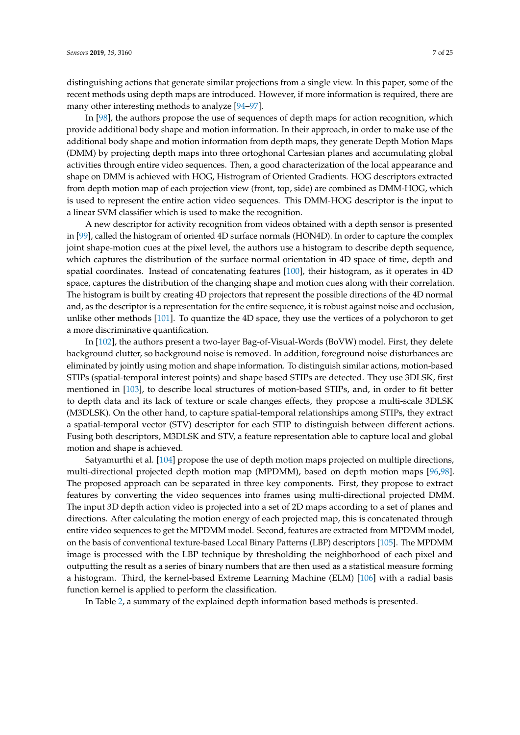distinguishing actions that generate similar projections from a single view. In this paper, some of the recent methods using depth maps are introduced. However, if more information is required, there are many other interesting methods to analyze [\[94](#page-21-6)[–97\]](#page-21-7).

In [\[98\]](#page-21-8), the authors propose the use of sequences of depth maps for action recognition, which provide additional body shape and motion information. In their approach, in order to make use of the additional body shape and motion information from depth maps, they generate Depth Motion Maps (DMM) by projecting depth maps into three ortoghonal Cartesian planes and accumulating global activities through entire video sequences. Then, a good characterization of the local appearance and shape on DMM is achieved with HOG, Histrogram of Oriented Gradients. HOG descriptors extracted from depth motion map of each projection view (front, top, side) are combined as DMM-HOG, which is used to represent the entire action video sequences. This DMM-HOG descriptor is the input to a linear SVM classifier which is used to make the recognition.

A new descriptor for activity recognition from videos obtained with a depth sensor is presented in [\[99\]](#page-21-9), called the histogram of oriented 4D surface normals (HON4D). In order to capture the complex joint shape-motion cues at the pixel level, the authors use a histogram to describe depth sequence, which captures the distribution of the surface normal orientation in 4D space of time, depth and spatial coordinates. Instead of concatenating features [\[100\]](#page-21-10), their histogram, as it operates in 4D space, captures the distribution of the changing shape and motion cues along with their correlation. The histogram is built by creating 4D projectors that represent the possible directions of the 4D normal and, as the descriptor is a representation for the entire sequence, it is robust against noise and occlusion, unlike other methods [\[101\]](#page-21-11). To quantize the 4D space, they use the vertices of a polychoron to get a more discriminative quantification.

In [\[102\]](#page-21-12), the authors present a two-layer Bag-of-Visual-Words (BoVW) model. First, they delete background clutter, so background noise is removed. In addition, foreground noise disturbances are eliminated by jointly using motion and shape information. To distinguish similar actions, motion-based STIPs (spatial-temporal interest points) and shape based STIPs are detected. They use 3DLSK, first mentioned in [\[103\]](#page-21-13), to describe local structures of motion-based STIPs, and, in order to fit better to depth data and its lack of texture or scale changes effects, they propose a multi-scale 3DLSK (M3DLSK). On the other hand, to capture spatial-temporal relationships among STIPs, they extract a spatial-temporal vector (STV) descriptor for each STIP to distinguish between different actions. Fusing both descriptors, M3DLSK and STV, a feature representation able to capture local and global motion and shape is achieved.

Satyamurthi et al. [\[104\]](#page-21-14) propose the use of depth motion maps projected on multiple directions, multi-directional projected depth motion map (MPDMM), based on depth motion maps [\[96,](#page-21-15)[98\]](#page-21-8). The proposed approach can be separated in three key components. First, they propose to extract features by converting the video sequences into frames using multi-directional projected DMM. The input 3D depth action video is projected into a set of 2D maps according to a set of planes and directions. After calculating the motion energy of each projected map, this is concatenated through entire video sequences to get the MPDMM model. Second, features are extracted from MPDMM model, on the basis of conventional texture-based Local Binary Patterns (LBP) descriptors [\[105\]](#page-21-16). The MPDMM image is processed with the LBP technique by thresholding the neighborhood of each pixel and outputting the result as a series of binary numbers that are then used as a statistical measure forming a histogram. Third, the kernel-based Extreme Learning Machine (ELM) [\[106\]](#page-21-17) with a radial basis function kernel is applied to perform the classification.

In Table [2,](#page-7-0) a summary of the explained depth information based methods is presented.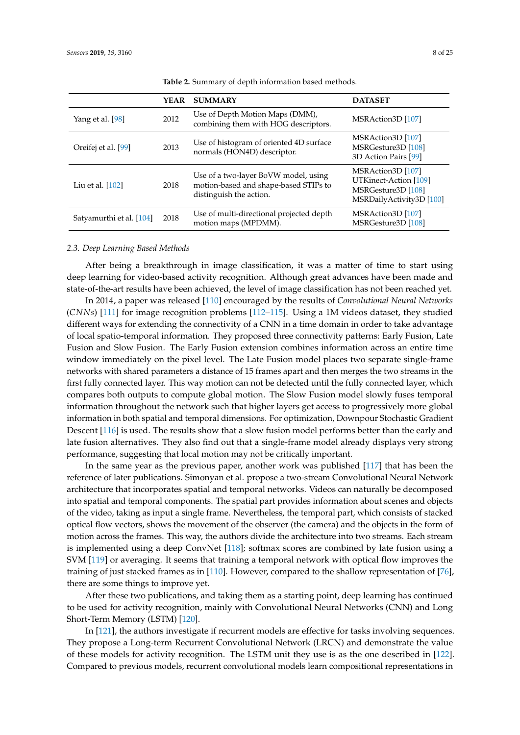<span id="page-7-0"></span>

|                          | YEAR | <b>SUMMARY</b>                                                                                           | <b>DATASET</b>                                                                               |
|--------------------------|------|----------------------------------------------------------------------------------------------------------|----------------------------------------------------------------------------------------------|
| Yang et al. [98]         | 2012 | Use of Depth Motion Maps (DMM),<br>combining them with HOG descriptors.                                  | MSRAction3D [107]                                                                            |
| Oreifej et al. [99]      | 2013 | Use of histogram of oriented 4D surface<br>normals (HON4D) descriptor.                                   | MSRAction3D [107]<br>MSRGesture3D [108]<br>3D Action Pairs [99]                              |
| Liu et al. $[102]$       | 2018 | Use of a two-layer BoVW model, using<br>motion-based and shape-based STIPs to<br>distinguish the action. | MSRAction3D [107]<br>UTKinect-Action [109]<br>MSRGesture3D [108]<br>MSRDailyActivity3D [100] |
| Satyamurthi et al. [104] | 2018 | Use of multi-directional projected depth<br>motion maps (MPDMM).                                         | MSRAction3D [107]<br>MSRGesture3D [108]                                                      |

**Table 2.** Summary of depth information based methods.

#### *2.3. Deep Learning Based Methods*

After being a breakthrough in image classification, it was a matter of time to start using deep learning for video-based activity recognition. Although great advances have been made and state-of-the-art results have been achieved, the level of image classification has not been reached yet.

In 2014, a paper was released [\[110\]](#page-22-1) encouraged by the results of *Convolutional Neural Networks* (*CNNs*) [\[111\]](#page-22-2) for image recognition problems [\[112](#page-22-3)[–115\]](#page-22-4). Using a 1M videos dataset, they studied different ways for extending the connectivity of a CNN in a time domain in order to take advantage of local spatio-temporal information. They proposed three connectivity patterns: Early Fusion, Late Fusion and Slow Fusion. The Early Fusion extension combines information across an entire time window immediately on the pixel level. The Late Fusion model places two separate single-frame networks with shared parameters a distance of 15 frames apart and then merges the two streams in the first fully connected layer. This way motion can not be detected until the fully connected layer, which compares both outputs to compute global motion. The Slow Fusion model slowly fuses temporal information throughout the network such that higher layers get access to progressively more global information in both spatial and temporal dimensions. For optimization, Downpour Stochastic Gradient Descent [\[116\]](#page-22-5) is used. The results show that a slow fusion model performs better than the early and late fusion alternatives. They also find out that a single-frame model already displays very strong performance, suggesting that local motion may not be critically important.

In the same year as the previous paper, another work was published [\[117\]](#page-22-6) that has been the reference of later publications. Simonyan et al. propose a two-stream Convolutional Neural Network architecture that incorporates spatial and temporal networks. Videos can naturally be decomposed into spatial and temporal components. The spatial part provides information about scenes and objects of the video, taking as input a single frame. Nevertheless, the temporal part, which consists of stacked optical flow vectors, shows the movement of the observer (the camera) and the objects in the form of motion across the frames. This way, the authors divide the architecture into two streams. Each stream is implemented using a deep ConvNet [\[118\]](#page-22-7); softmax scores are combined by late fusion using a SVM [\[119\]](#page-22-8) or averaging. It seems that training a temporal network with optical flow improves the training of just stacked frames as in [\[110\]](#page-22-1). However, compared to the shallow representation of [\[76\]](#page-20-8), there are some things to improve yet.

After these two publications, and taking them as a starting point, deep learning has continued to be used for activity recognition, mainly with Convolutional Neural Networks (CNN) and Long Short-Term Memory (LSTM) [\[120\]](#page-22-9).

In [\[121\]](#page-22-10), the authors investigate if recurrent models are effective for tasks involving sequences. They propose a Long-term Recurrent Convolutional Network (LRCN) and demonstrate the value of these models for activity recognition. The LSTM unit they use is as the one described in [\[122\]](#page-22-11). Compared to previous models, recurrent convolutional models learn compositional representations in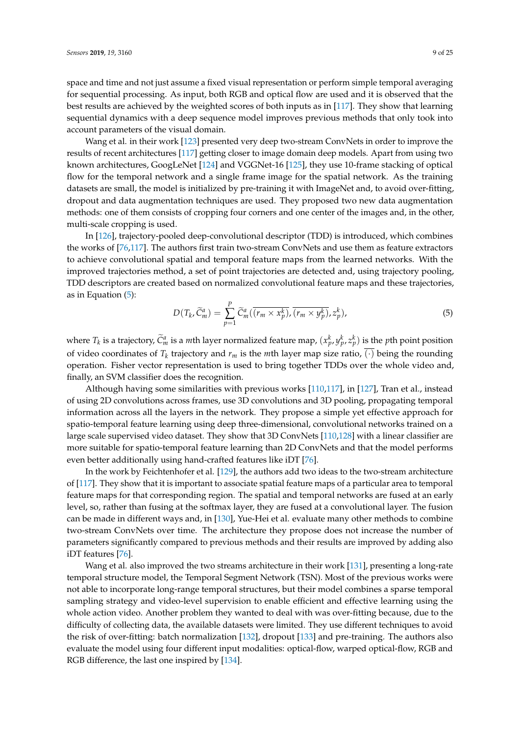account parameters of the visual domain.

Wang et al. in their work [\[123\]](#page-22-12) presented very deep two-stream ConvNets in order to improve the results of recent architectures [\[117\]](#page-22-6) getting closer to image domain deep models. Apart from using two known architectures, GoogLeNet [\[124\]](#page-22-13) and VGGNet-16 [\[125\]](#page-22-14), they use 10-frame stacking of optical flow for the temporal network and a single frame image for the spatial network. As the training datasets are small, the model is initialized by pre-training it with ImageNet and, to avoid over-fitting, dropout and data augmentation techniques are used. They proposed two new data augmentation methods: one of them consists of cropping four corners and one center of the images and, in the other, multi-scale cropping is used.

In [\[126\]](#page-22-15), trajectory-pooled deep-convolutional descriptor (TDD) is introduced, which combines the works of [\[76](#page-20-8)[,117\]](#page-22-6). The authors first train two-stream ConvNets and use them as feature extractors to achieve convolutional spatial and temporal feature maps from the learned networks. With the improved trajectories method, a set of point trajectories are detected and, using trajectory pooling, TDD descriptors are created based on normalized convolutional feature maps and these trajectories, as in Equation [\(5\)](#page-8-0):

<span id="page-8-0"></span>
$$
D(T_k, \widetilde{C}_m^a) = \sum_{p=1}^P \widetilde{C}_m^a(\overline{(r_m \times x_p^k)}, \overline{(r_m \times y_p^k)}, z_p^k), \tag{5}
$$

where  $T_k$  is a trajectory,  $\widetilde{C}_m^a$  is a *m*th layer normalized feature map,  $(x_p^k, y_p^k, z_p^k)$  is the *p*th point position of video coordinates of  $T_k$  trajectory and  $r_m$  is the *m*th layer map size ratio,  $(\cdot)$  being the rounding operation. Fisher vector representation is used to bring together TDDs over the whole video and, finally, an SVM classifier does the recognition.

Although having some similarities with previous works [\[110](#page-22-1)[,117\]](#page-22-6), in [\[127\]](#page-22-16), Tran et al., instead of using 2D convolutions across frames, use 3D convolutions and 3D pooling, propagating temporal information across all the layers in the network. They propose a simple yet effective approach for spatio-temporal feature learning using deep three-dimensional, convolutional networks trained on a large scale supervised video dataset. They show that 3D ConvNets [\[110](#page-22-1)[,128\]](#page-22-17) with a linear classifier are more suitable for spatio-temporal feature learning than 2D ConvNets and that the model performs even better additionally using hand-crafted features like iDT [\[76\]](#page-20-8).

In the work by Feichtenhofer et al. [\[129\]](#page-22-18), the authors add two ideas to the two-stream architecture of [\[117\]](#page-22-6). They show that it is important to associate spatial feature maps of a particular area to temporal feature maps for that corresponding region. The spatial and temporal networks are fused at an early level, so, rather than fusing at the softmax layer, they are fused at a convolutional layer. The fusion can be made in different ways and, in [\[130\]](#page-23-0), Yue-Hei et al. evaluate many other methods to combine two-stream ConvNets over time. The architecture they propose does not increase the number of parameters significantly compared to previous methods and their results are improved by adding also iDT features [\[76\]](#page-20-8).

Wang et al. also improved the two streams architecture in their work [\[131\]](#page-23-1), presenting a long-rate temporal structure model, the Temporal Segment Network (TSN). Most of the previous works were not able to incorporate long-range temporal structures, but their model combines a sparse temporal sampling strategy and video-level supervision to enable efficient and effective learning using the whole action video. Another problem they wanted to deal with was over-fitting because, due to the difficulty of collecting data, the available datasets were limited. They use different techniques to avoid the risk of over-fitting: batch normalization [\[132\]](#page-23-2), dropout [\[133\]](#page-23-3) and pre-training. The authors also evaluate the model using four different input modalities: optical-flow, warped optical-flow, RGB and RGB difference, the last one inspired by [\[134\]](#page-23-4).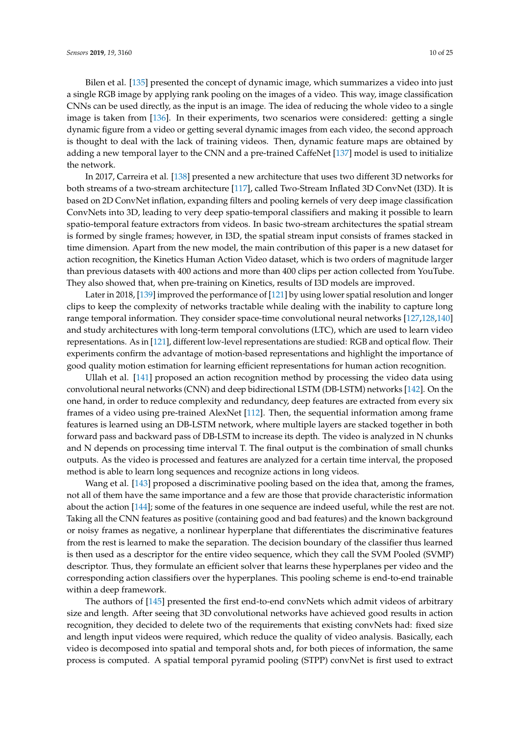Bilen et al. [\[135\]](#page-23-5) presented the concept of dynamic image, which summarizes a video into just a single RGB image by applying rank pooling on the images of a video. This way, image classification CNNs can be used directly, as the input is an image. The idea of reducing the whole video to a single image is taken from [\[136\]](#page-23-6). In their experiments, two scenarios were considered: getting a single dynamic figure from a video or getting several dynamic images from each video, the second approach is thought to deal with the lack of training videos. Then, dynamic feature maps are obtained by adding a new temporal layer to the CNN and a pre-trained CaffeNet [\[137\]](#page-23-7) model is used to initialize the network.

In 2017, Carreira et al. [\[138\]](#page-23-8) presented a new architecture that uses two different 3D networks for both streams of a two-stream architecture [\[117\]](#page-22-6), called Two-Stream Inflated 3D ConvNet (I3D). It is based on 2D ConvNet inflation, expanding filters and pooling kernels of very deep image classification ConvNets into 3D, leading to very deep spatio-temporal classifiers and making it possible to learn spatio-temporal feature extractors from videos. In basic two-stream architectures the spatial stream is formed by single frames; however, in I3D, the spatial stream input consists of frames stacked in time dimension. Apart from the new model, the main contribution of this paper is a new dataset for action recognition, the Kinetics Human Action Video dataset, which is two orders of magnitude larger than previous datasets with 400 actions and more than 400 clips per action collected from YouTube. They also showed that, when pre-training on Kinetics, results of I3D models are improved.

Later in 2018, [\[139\]](#page-23-9) improved the performance of [\[121\]](#page-22-10) by using lower spatial resolution and longer clips to keep the complexity of networks tractable while dealing with the inability to capture long range temporal information. They consider space-time convolutional neural networks [\[127](#page-22-16)[,128](#page-22-17)[,140\]](#page-23-10) and study architectures with long-term temporal convolutions (LTC), which are used to learn video representations. As in [\[121\]](#page-22-10), different low-level representations are studied: RGB and optical flow. Their experiments confirm the advantage of motion-based representations and highlight the importance of good quality motion estimation for learning efficient representations for human action recognition.

Ullah et al. [\[141\]](#page-23-11) proposed an action recognition method by processing the video data using convolutional neural networks (CNN) and deep bidirectional LSTM (DB-LSTM) networks [\[142\]](#page-23-12). On the one hand, in order to reduce complexity and redundancy, deep features are extracted from every six frames of a video using pre-trained AlexNet [\[112\]](#page-22-3). Then, the sequential information among frame features is learned using an DB-LSTM network, where multiple layers are stacked together in both forward pass and backward pass of DB-LSTM to increase its depth. The video is analyzed in N chunks and N depends on processing time interval T. The final output is the combination of small chunks outputs. As the video is processed and features are analyzed for a certain time interval, the proposed method is able to learn long sequences and recognize actions in long videos.

Wang et al. [\[143\]](#page-23-13) proposed a discriminative pooling based on the idea that, among the frames, not all of them have the same importance and a few are those that provide characteristic information about the action [\[144\]](#page-23-14); some of the features in one sequence are indeed useful, while the rest are not. Taking all the CNN features as positive (containing good and bad features) and the known background or noisy frames as negative, a nonlinear hyperplane that differentiates the discriminative features from the rest is learned to make the separation. The decision boundary of the classifier thus learned is then used as a descriptor for the entire video sequence, which they call the SVM Pooled (SVMP) descriptor. Thus, they formulate an efficient solver that learns these hyperplanes per video and the corresponding action classifiers over the hyperplanes. This pooling scheme is end-to-end trainable within a deep framework.

The authors of [\[145\]](#page-23-15) presented the first end-to-end convNets which admit videos of arbitrary size and length. After seeing that 3D convolutional networks have achieved good results in action recognition, they decided to delete two of the requirements that existing convNets had: fixed size and length input videos were required, which reduce the quality of video analysis. Basically, each video is decomposed into spatial and temporal shots and, for both pieces of information, the same process is computed. A spatial temporal pyramid pooling (STPP) convNet is first used to extract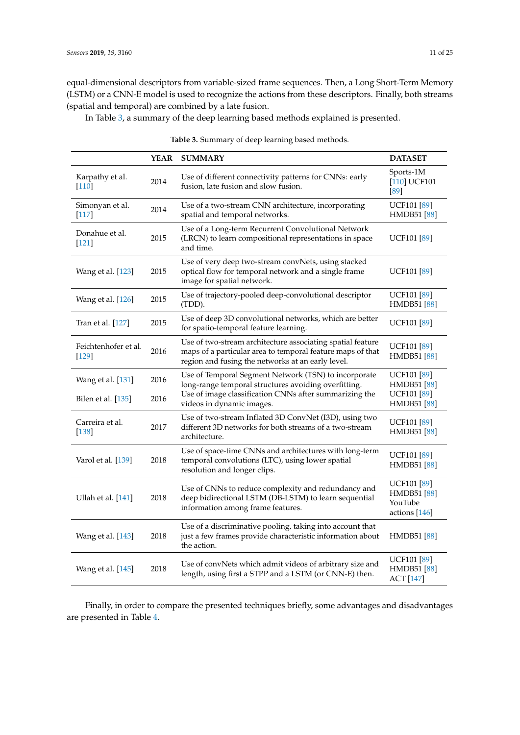equal-dimensional descriptors from variable-sized frame sequences. Then, a Long Short-Term Memory (LSTM) or a CNN-E model is used to recognize the actions from these descriptors. Finally, both streams (spatial and temporal) are combined by a late fusion.

In Table [3,](#page-10-0) a summary of the deep learning based methods explained is presented.

<span id="page-10-0"></span>

|                                         | YEAR         | <b>SUMMARY</b>                                                                                                                                                                                      | <b>DATASET</b>                                                                       |
|-----------------------------------------|--------------|-----------------------------------------------------------------------------------------------------------------------------------------------------------------------------------------------------|--------------------------------------------------------------------------------------|
| Karpathy et al.<br>$[110]$              | 2014         | Use of different connectivity patterns for CNNs: early<br>fusion, late fusion and slow fusion.                                                                                                      | Sports-1M<br>[110] UCF101<br>[89]                                                    |
| Simonyan et al.<br><sup>117</sup>       | 2014         | Use of a two-stream CNN architecture, incorporating<br>spatial and temporal networks.                                                                                                               | <b>UCF101</b> [89]<br><b>HMDB51</b> [88]                                             |
| Donahue et al.<br>$[121]$               | 2015         | Use of a Long-term Recurrent Convolutional Network<br>(LRCN) to learn compositional representations in space<br>and time.                                                                           | <b>UCF101</b> [89]                                                                   |
| Wang et al. [123]                       | 2015         | Use of very deep two-stream convNets, using stacked<br>optical flow for temporal network and a single frame<br>image for spatial network.                                                           | <b>UCF101</b> [89]                                                                   |
| Wang et al. [126]                       | 2015         | Use of trajectory-pooled deep-convolutional descriptor<br>(TDD).                                                                                                                                    | <b>UCF101</b> [89]<br><b>HMDB51</b> [88]                                             |
| Tran et al. [127]                       | 2015         | Use of deep 3D convolutional networks, which are better<br>for spatio-temporal feature learning.                                                                                                    | <b>UCF101</b> [89]                                                                   |
| Feichtenhofer et al.<br>$[129]$         | 2016         | Use of two-stream architecture associating spatial feature<br>maps of a particular area to temporal feature maps of that<br>region and fusing the networks at an early level.                       | <b>UCF101</b> [89]<br><b>HMDB51</b> [88]                                             |
| Wang et al. [131]<br>Bilen et al. [135] | 2016<br>2016 | Use of Temporal Segment Network (TSN) to incorporate<br>long-range temporal structures avoiding overfitting.<br>Use of image classification CNNs after summarizing the<br>videos in dynamic images. | <b>UCF101</b> [89]<br><b>HMDB51</b> [88]<br><b>UCF101</b> [89]<br><b>HMDB51</b> [88] |
| Carreira et al.<br>$[138]$              | 2017         | Use of two-stream Inflated 3D ConvNet (I3D), using two<br>different 3D networks for both streams of a two-stream<br>architecture.                                                                   | <b>UCF101</b> [89]<br><b>HMDB51</b> [88]                                             |
| Varol et al. [139]                      | 2018         | Use of space-time CNNs and architectures with long-term<br>temporal convolutions (LTC), using lower spatial<br>resolution and longer clips.                                                         | <b>UCF101</b> [89]<br><b>HMDB51</b> [88]                                             |
| Ullah et al. [141]                      | 2018         | Use of CNNs to reduce complexity and redundancy and<br>deep bidirectional LSTM (DB-LSTM) to learn sequential<br>information among frame features.                                                   | <b>UCF101</b> [89]<br><b>HMDB51</b> [88]<br>YouTube<br>actions $[146]$               |
| Wang et al. [143]                       | 2018         | Use of a discriminative pooling, taking into account that<br>just a few frames provide characteristic information about<br>the action.                                                              | <b>HMDB51</b> [88]                                                                   |
| Wang et al. [145]                       | 2018         | Use of convNets which admit videos of arbitrary size and<br>length, using first a STPP and a LSTM (or CNN-E) then.                                                                                  | <b>UCF101</b> [89]<br><b>HMDB51</b> [88]<br><b>ACT</b> [147]                         |

**Table 3.** Summary of deep learning based methods.

Finally, in order to compare the presented techniques briefly, some advantages and disadvantages are presented in Table [4.](#page-11-1)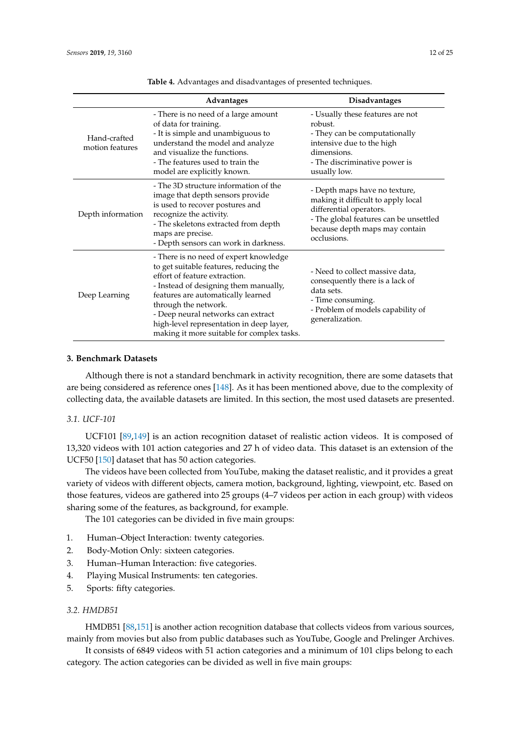<span id="page-11-1"></span>

|                                 | Advantages                                                                                                                                                                                                                                                                                                                                               | <b>Disadvantages</b>                                                                                                                                                                      |
|---------------------------------|----------------------------------------------------------------------------------------------------------------------------------------------------------------------------------------------------------------------------------------------------------------------------------------------------------------------------------------------------------|-------------------------------------------------------------------------------------------------------------------------------------------------------------------------------------------|
| Hand-crafted<br>motion features | - There is no need of a large amount<br>of data for training.<br>- It is simple and unambiguous to<br>understand the model and analyze<br>and visualize the functions.<br>- The features used to train the<br>model are explicitly known.                                                                                                                | - Usually these features are not<br>robust.<br>- They can be computationally<br>intensive due to the high<br>dimensions.<br>- The discriminative power is<br>usually low.                 |
| Depth information               | - The 3D structure information of the<br>image that depth sensors provide<br>is used to recover postures and<br>recognize the activity.<br>- The skeletons extracted from depth<br>maps are precise.<br>- Depth sensors can work in darkness.                                                                                                            | - Depth maps have no texture,<br>making it difficult to apply local<br>differential operators.<br>- The global features can be unsettled<br>because depth maps may contain<br>occlusions. |
| Deep Learning                   | - There is no need of expert knowledge<br>to get suitable features, reducing the<br>effort of feature extraction.<br>- Instead of designing them manually,<br>features are automatically learned<br>through the network.<br>- Deep neural networks can extract<br>high-level representation in deep layer,<br>making it more suitable for complex tasks. | - Need to collect massive data,<br>consequently there is a lack of<br>data sets.<br>- Time consuming.<br>- Problem of models capability of<br>generalization.                             |

**Table 4.** Advantages and disadvantages of presented techniques.

## <span id="page-11-0"></span>**3. Benchmark Datasets**

Although there is not a standard benchmark in activity recognition, there are some datasets that are being considered as reference ones [\[148\]](#page-23-18). As it has been mentioned above, due to the complexity of collecting data, the available datasets are limited. In this section, the most used datasets are presented.

## *3.1. UCF-101*

UCF101 [\[89,](#page-21-1)[149\]](#page-23-19) is an action recognition dataset of realistic action videos. It is composed of 13,320 videos with 101 action categories and 27 h of video data. This dataset is an extension of the UCF50 [\[150\]](#page-24-0) dataset that has 50 action categories.

The videos have been collected from YouTube, making the dataset realistic, and it provides a great variety of videos with different objects, camera motion, background, lighting, viewpoint, etc. Based on those features, videos are gathered into 25 groups (4–7 videos per action in each group) with videos sharing some of the features, as background, for example.

The 101 categories can be divided in five main groups:

- 1. Human–Object Interaction: twenty categories.
- 2. Body-Motion Only: sixteen categories.
- 3. Human–Human Interaction: five categories.
- 4. Playing Musical Instruments: ten categories.
- 5. Sports: fifty categories.

## *3.2. HMDB51*

HMDB51 [\[88,](#page-21-0)[151\]](#page-24-1) is another action recognition database that collects videos from various sources, mainly from movies but also from public databases such as YouTube, Google and Prelinger Archives.

It consists of 6849 videos with 51 action categories and a minimum of 101 clips belong to each category. The action categories can be divided as well in five main groups: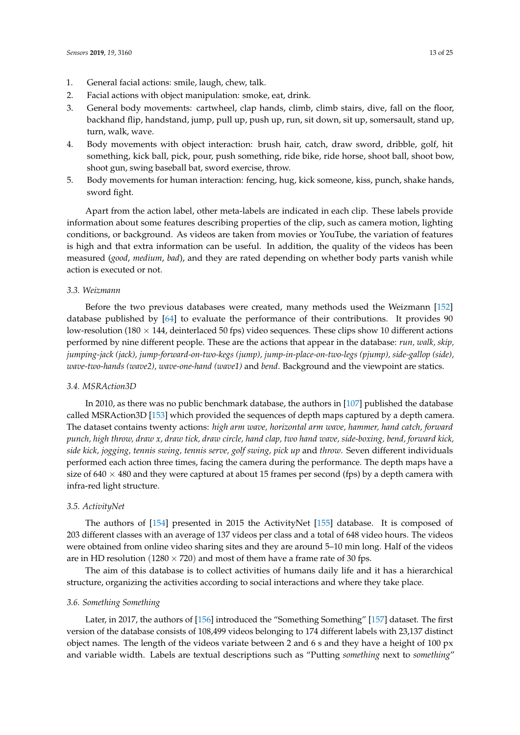- 1. General facial actions: smile, laugh, chew, talk.
- 2. Facial actions with object manipulation: smoke, eat, drink.
- 3. General body movements: cartwheel, clap hands, climb, climb stairs, dive, fall on the floor, backhand flip, handstand, jump, pull up, push up, run, sit down, sit up, somersault, stand up, turn, walk, wave.
- 4. Body movements with object interaction: brush hair, catch, draw sword, dribble, golf, hit something, kick ball, pick, pour, push something, ride bike, ride horse, shoot ball, shoot bow, shoot gun, swing baseball bat, sword exercise, throw.
- 5. Body movements for human interaction: fencing, hug, kick someone, kiss, punch, shake hands, sword fight.

Apart from the action label, other meta-labels are indicated in each clip. These labels provide information about some features describing properties of the clip, such as camera motion, lighting conditions, or background. As videos are taken from movies or YouTube, the variation of features is high and that extra information can be useful. In addition, the quality of the videos has been measured (*good*, *medium*, *bad*), and they are rated depending on whether body parts vanish while action is executed or not.

## *3.3. Weizmann*

Before the two previous databases were created, many methods used the Weizmann [\[152\]](#page-24-2) database published by [\[64\]](#page-19-17) to evaluate the performance of their contributions. It provides 90 low-resolution (180  $\times$  144, deinterlaced 50 fps) video sequences. These clips show 10 different actions performed by nine different people. These are the actions that appear in the database: *run, walk, skip, jumping-jack (jack), jump-forward-on-two-kegs (jump), jump-in-place-on-two-legs (pjump), side-gallop (side), wave-two-hands (wave2), wave-one-hand (wave1)* and *bend*. Background and the viewpoint are statics.

#### *3.4. MSRAction3D*

In 2010, as there was no public benchmark database, the authors in [\[107\]](#page-21-18) published the database called MSRAction3D [\[153\]](#page-24-3) which provided the sequences of depth maps captured by a depth camera. The dataset contains twenty actions: *high arm wave, horizontal arm wave, hammer, hand catch, forward punch, high throw, draw x, draw tick, draw circle, hand clap, two hand wave, side-boxing, bend, forward kick, side kick, jogging, tennis swing, tennis serve, golf swing, pick up* and *throw*. Seven different individuals performed each action three times, facing the camera during the performance. The depth maps have a size of  $640 \times 480$  and they were captured at about 15 frames per second (fps) by a depth camera with infra-red light structure.

#### *3.5. ActivityNet*

The authors of [\[154\]](#page-24-4) presented in 2015 the ActivityNet [\[155\]](#page-24-5) database. It is composed of 203 different classes with an average of 137 videos per class and a total of 648 video hours. The videos were obtained from online video sharing sites and they are around 5–10 min long. Half of the videos are in HD resolution ( $1280 \times 720$ ) and most of them have a frame rate of 30 fps.

The aim of this database is to collect activities of humans daily life and it has a hierarchical structure, organizing the activities according to social interactions and where they take place.

#### *3.6. Something Something*

Later, in 2017, the authors of [\[156\]](#page-24-6) introduced the "Something Something" [\[157\]](#page-24-7) dataset. The first version of the database consists of 108,499 videos belonging to 174 different labels with 23,137 distinct object names. The length of the videos variate between 2 and 6 s and they have a height of 100 px and variable width. Labels are textual descriptions such as "Putting *something* next to *something*"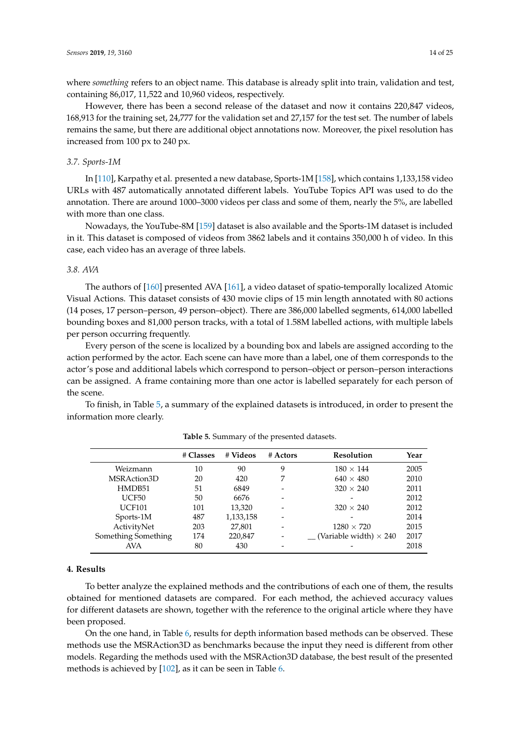where *something* refers to an object name. This database is already split into train, validation and test, containing 86,017, 11,522 and 10,960 videos, respectively.

However, there has been a second release of the dataset and now it contains 220,847 videos, 168,913 for the training set, 24,777 for the validation set and 27,157 for the test set. The number of labels remains the same, but there are additional object annotations now. Moreover, the pixel resolution has increased from 100 px to 240 px.

#### *3.7. Sports-1M*

In [\[110\]](#page-22-1), Karpathy et al. presented a new database, Sports-1M [\[158\]](#page-24-8), which contains 1,133,158 video URLs with 487 automatically annotated different labels. YouTube Topics API was used to do the annotation. There are around 1000–3000 videos per class and some of them, nearly the 5%, are labelled with more than one class.

Nowadays, the YouTube-8M [\[159\]](#page-24-9) dataset is also available and the Sports-1M dataset is included in it. This dataset is composed of videos from 3862 labels and it contains 350,000 h of video. In this case, each video has an average of three labels.

#### *3.8. AVA*

The authors of [\[160\]](#page-24-10) presented AVA [\[161\]](#page-24-11), a video dataset of spatio-temporally localized Atomic Visual Actions. This dataset consists of 430 movie clips of 15 min length annotated with 80 actions (14 poses, 17 person–person, 49 person–object). There are 386,000 labelled segments, 614,000 labelled bounding boxes and 81,000 person tracks, with a total of 1.58M labelled actions, with multiple labels per person occurring frequently.

Every person of the scene is localized by a bounding box and labels are assigned according to the action performed by the actor. Each scene can have more than a label, one of them corresponds to the actor's pose and additional labels which correspond to person–object or person–person interactions can be assigned. A frame containing more than one actor is labelled separately for each person of the scene.

<span id="page-13-0"></span>To finish, in Table [5,](#page-13-0) a summary of the explained datasets is introduced, in order to present the information more clearly.

|                     | # Classes | # Videos  | $#$ Actors | Resolution                    | Year |
|---------------------|-----------|-----------|------------|-------------------------------|------|
| Weizmann            | 10        | 90        | 9          | $180 \times 144$              | 2005 |
| MSRAction3D         | 20        | 420       |            | $640 \times 480$              | 2010 |
| HMDB51              | 51        | 6849      |            | $320 \times 240$              | 2011 |
| UCF50               | 50        | 6676      | -          |                               | 2012 |
| <b>UCF101</b>       | 101       | 13,320    |            | $320 \times 240$              | 2012 |
| Sports-1M           | 487       | 1,133,158 |            |                               | 2014 |
| ActivityNet         | 203       | 27,801    |            | $1280 \times 720$             | 2015 |
| Something Something | 174       | 220,847   |            | (Variable width) $\times$ 240 | 2017 |
| <b>AVA</b>          | 80        | 430       |            |                               | 2018 |

**Table 5.** Summary of the presented datasets.

## **4. Results**

To better analyze the explained methods and the contributions of each one of them, the results obtained for mentioned datasets are compared. For each method, the achieved accuracy values for different datasets are shown, together with the reference to the original article where they have been proposed.

On the one hand, in Table [6,](#page-14-0) results for depth information based methods can be observed. These methods use the MSRAction3D as benchmarks because the input they need is different from other models. Regarding the methods used with the MSRAction3D database, the best result of the presented methods is achieved by [\[102\]](#page-21-12), as it can be seen in Table [6.](#page-14-0)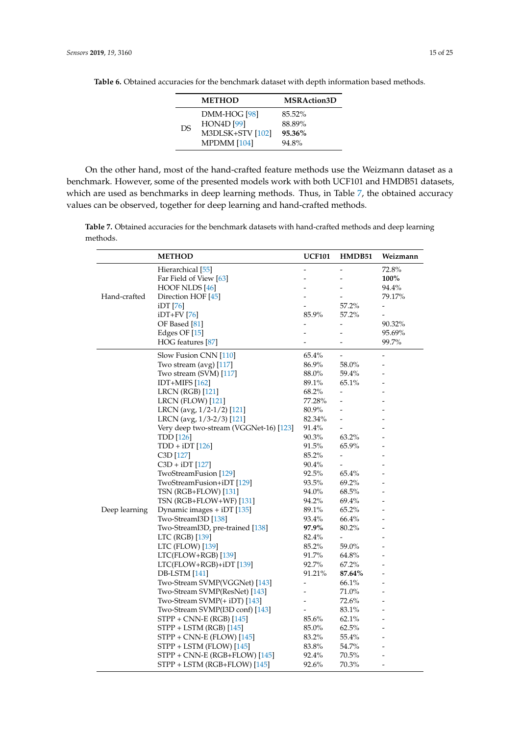|    | <b>METHOD</b>                                                        | <b>MSRAction3D</b>                  |
|----|----------------------------------------------------------------------|-------------------------------------|
| DS | DMM-HOG [98]<br><b>HON4D</b> [99]<br>M3DLSK+STV [102]<br>MPDMM [104] | 85.52%<br>88.89%<br>95.36%<br>94.8% |

<span id="page-14-0"></span>**Table 6.** Obtained accuracies for the benchmark dataset with depth information based methods.

On the other hand, most of the hand-crafted feature methods use the Weizmann dataset as a benchmark. However, some of the presented models work with both UCF101 and HMDB51 datasets, which are used as benchmarks in deep learning methods. Thus, in Table [7,](#page-14-1) the obtained accuracy values can be observed, together for deep learning and hand-crafted methods.

<span id="page-14-1"></span>**Table 7.** Obtained accuracies for the benchmark datasets with hand-crafted methods and deep learning methods.

|               | <b>METHOD</b>                          | <b>UCF101</b> | HMDB51                   | Weizmann                 |
|---------------|----------------------------------------|---------------|--------------------------|--------------------------|
|               | Hierarchical <sup>[55]</sup>           |               |                          | 72.8%                    |
|               | Far Field of View [63]                 |               |                          | 100%                     |
|               | HOOF NLDS [46]                         |               |                          | 94.4%                    |
| Hand-crafted  | Direction HOF [45]                     |               |                          | 79.17%                   |
|               | iDT [76]                               |               | 57.2%                    | $\overline{\phantom{a}}$ |
|               | $iDT+FV[76]$                           | 85.9%         | 57.2%                    | ۰                        |
|               | OF Based [81]                          |               | $\overline{a}$           | 90.32%                   |
|               | Edges OF [15]                          |               | $\overline{a}$           | 95.69%                   |
|               | HOG features [87]                      |               |                          | 99.7%                    |
|               | Slow Fusion CNN [110]                  | 65.4%         |                          | $\overline{a}$           |
|               | Two stream (avg) $[117]$               | 86.9%         | 58.0%                    |                          |
|               | Two stream (SVM) [117]                 | 88.0%         | 59.4%                    |                          |
|               | IDT+MIFS $[162]$                       | 89.1%         | 65.1%                    |                          |
|               | <b>LRCN (RGB)</b> [121]                | 68.2%         | $\overline{a}$           |                          |
|               | LRCN (FLOW) [121]                      | 77.28%        | $\overline{a}$           |                          |
|               | LRCN (avg, 1/2-1/2) [121]              | 80.9%         |                          |                          |
|               | LRCN (avg, 1/3-2/3) [121]              | 82.34%        | $\overline{\phantom{0}}$ |                          |
|               | Very deep two-stream (VGGNet-16) [123] | 91.4%         |                          |                          |
|               | TDD [126]                              | 90.3%         | 63.2%                    |                          |
|               | $TDD + iDT[126]$                       | 91.5%         | 65.9%                    |                          |
|               | C3D [127]                              | 85.2%         |                          |                          |
|               | $C3D + iDT$ [127]                      | 90.4%         | $\tilde{\phantom{a}}$    |                          |
|               | TwoStreamFusion [129]                  | 92.5%         | 65.4%                    |                          |
|               | TwoStreamFusion+iDT [129]              | 93.5%         | 69.2%                    |                          |
|               | TSN (RGB+FLOW) [131]                   | 94.0%         | 68.5%                    |                          |
|               | TSN (RGB+FLOW+WF) [131]                | 94.2%         | 69.4%                    |                          |
| Deep learning | Dynamic images + iDT [135]             | 89.1%         | 65.2%                    |                          |
|               | Two-StreamI3D [138]                    | 93.4%         | 66.4%                    |                          |
|               | Two-StreamI3D, pre-trained [138]       | 97.9%         | 80.2%                    |                          |
|               | LTC (RGB) [139]                        | 82.4%         |                          |                          |
|               | LTC (FLOW) [139]                       | 85.2%         | 59.0%                    |                          |
|               | $LTC(FLOW+RGB)$ [139]                  | 91.7%         | 64.8%                    |                          |
|               | LTC(FLOW+RGB)+iDT [139]                | 92.7%         | $67.2\%$                 |                          |
|               | DB-LSTM [141]                          | 91.21%        | 87.64%                   |                          |
|               | Two-Stream SVMP(VGGNet) [143]          |               | 66.1%                    |                          |
|               | Two-Stream SVMP(ResNet) [143]          |               | 71.0%                    |                          |
|               | Two-Stream SVMP(+ iDT) [143]           |               | 72.6%                    |                          |
|               | Two-Stream SVMP(I3D conf) [143]        |               | 83.1%                    |                          |
|               | STPP + CNN-E (RGB) [145]               | 85.6%         | 62.1%                    |                          |
|               | STPP + LSTM (RGB) [145]                | 85.0%         | 62.5%                    |                          |
|               | STPP + CNN-E (FLOW) [145]              | 83.2%         | 55.4%                    |                          |
|               | $STPP + LSTM$ (FLOW) [145]             | 83.8%         | 54.7%                    |                          |
|               | $STPP + CNN-E (RGB + FLOW)$ [145]      | 92.4%         | 70.5%                    |                          |
|               | STPP + LSTM (RGB+FLOW) [145]           | 92.6%         | 70.3%                    |                          |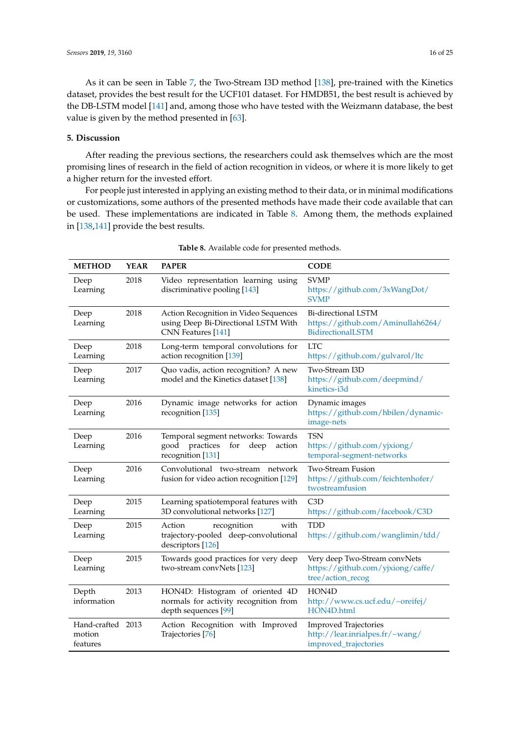As it can be seen in Table [7,](#page-14-1) the Two-Stream I3D method [\[138\]](#page-23-8), pre-trained with the Kinetics dataset, provides the best result for the UCF101 dataset. For HMDB51, the best result is achieved by the DB-LSTM model [\[141\]](#page-23-11) and, among those who have tested with the Weizmann database, the best value is given by the method presented in [\[63\]](#page-19-16).

## **5. Discussion**

After reading the previous sections, the researchers could ask themselves which are the most promising lines of research in the field of action recognition in videos, or where it is more likely to get a higher return for the invested effort.

For people just interested in applying an existing method to their data, or in minimal modifications or customizations, some authors of the presented methods have made their code available that can be used. These implementations are indicated in Table [8.](#page-15-0) Among them, the methods explained in [\[138](#page-23-8)[,141\]](#page-23-11) provide the best results.

<span id="page-15-0"></span>

| <b>METHOD</b>                           | <b>YEAR</b> | <b>PAPER</b>                                                                                          | <b>CODE</b>                                                                              |
|-----------------------------------------|-------------|-------------------------------------------------------------------------------------------------------|------------------------------------------------------------------------------------------|
| Deep<br>Learning                        | 2018        | Video representation learning using<br>discriminative pooling [143]                                   | <b>SVMP</b><br>https://github.com/3xWangDot/<br><b>SVMP</b>                              |
| Deep<br>Learning                        | 2018        | Action Recognition in Video Sequences<br>using Deep Bi-Directional LSTM With<br>CNN Features [141]    | <b>Bi-directional LSTM</b><br>https://github.com/Aminullah6264/<br>BidirectionalLSTM     |
| Deep<br>Learning                        | 2018        | Long-term temporal convolutions for<br>action recognition [139]                                       | <b>LTC</b><br>https://github.com/gulvarol/ltc                                            |
| Deep<br>Learning                        | 2017        | Quo vadis, action recognition? A new<br>model and the Kinetics dataset [138]                          | Two-Stream I3D<br>https://github.com/deepmind/<br>kinetics-i3d                           |
| Deep<br>Learning                        | 2016        | Dynamic image networks for action<br>recognition [135]                                                | Dynamic images<br>https://github.com/hbilen/dynamic-<br>image-nets                       |
| Deep<br>Learning                        | 2016        | Temporal segment networks: Towards<br>practices<br>good<br>for<br>deep<br>action<br>recognition [131] | <b>TSN</b><br>https://github.com/yjxiong/<br>temporal-segment-networks                   |
| Deep<br>Learning                        | 2016        | Convolutional two-stream network<br>fusion for video action recognition [129]                         | <b>Two-Stream Fusion</b><br>https://github.com/feichtenhofer/<br>twostreamfusion         |
| Deep<br>Learning                        | 2015        | Learning spatiotemporal features with<br>3D convolutional networks [127]                              | C3D<br>https://github.com/facebook/C3D                                                   |
| Deep<br>Learning                        | 2015        | recognition<br>with<br>Action<br>trajectory-pooled deep-convolutional<br>descriptors [126]            | <b>TDD</b><br>https://github.com/wanglimin/tdd/                                          |
| Deep<br>Learning                        | 2015        | Towards good practices for very deep<br>two-stream convNets [123]                                     | Very deep Two-Stream convNets<br>https://github.com/yjxiong/caffe/<br>tree/action_recog  |
| Depth<br>information                    | 2013        | HON4D: Histogram of oriented 4D<br>normals for activity recognition from<br>depth sequences [99]      | HON4D<br>http://www.cs.ucf.edu/~oreifej/<br>HON4D.html                                   |
| Hand-crafted 2013<br>motion<br>features |             | Action Recognition with Improved<br>Trajectories [76]                                                 | <b>Improved Trajectories</b><br>http://lear.inrialpes.fr/~wang/<br>improved_trajectories |

| Table 8. Available code for presented methods. |  |
|------------------------------------------------|--|
|------------------------------------------------|--|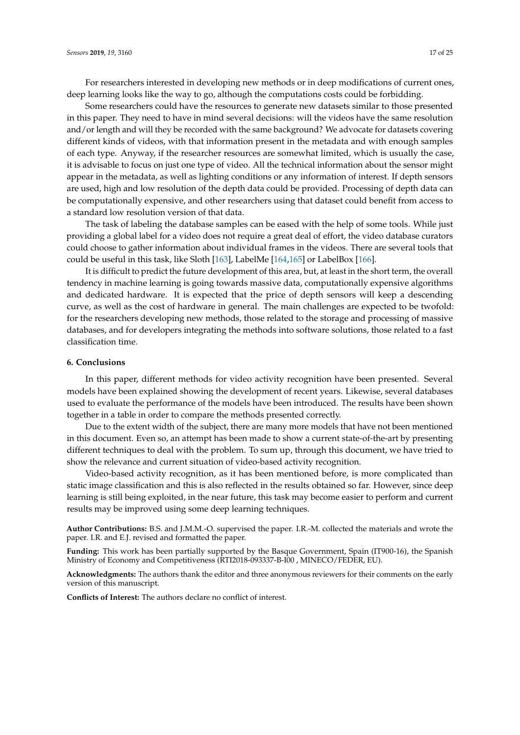For researchers interested in developing new methods or in deep modifications of current ones, deep learning looks like the way to go, although the computations costs could be forbidding.

Some researchers could have the resources to generate new datasets similar to those presented in this paper. They need to have in mind several decisions: will the videos have the same resolution and/or length and will they be recorded with the same background? We advocate for datasets covering different kinds of videos, with that information present in the metadata and with enough samples of each type. Anyway, if the researcher resources are somewhat limited, which is usually the case, it is advisable to focus on just one type of video. All the technical information about the sensor might appear in the metadata, as well as lighting conditions or any information of interest. If depth sensors are used, high and low resolution of the depth data could be provided. Processing of depth data can be computationally expensive, and other researchers using that dataset could benefit from access to a standard low resolution version of that data.

The task of labeling the database samples can be eased with the help of some tools. While just providing a global label for a video does not require a great deal of effort, the video database curators could choose to gather information about individual frames in the videos. There are several tools that could be useful in this task, like Sloth [\[163\]](#page-24-13), LabelMe [\[164,](#page-24-14)[165\]](#page-24-15) or LabelBox [\[166\]](#page-24-16).

It is difficult to predict the future development of this area, but, at least in the short term, the overall tendency in machine learning is going towards massive data, computationally expensive algorithms and dedicated hardware. It is expected that the price of depth sensors will keep a descending curve, as well as the cost of hardware in general. The main challenges are expected to be twofold: for the researchers developing new methods, those related to the storage and processing of massive databases, and for developers integrating the methods into software solutions, those related to a fast classification time.

## **6. Conclusions**

In this paper, different methods for video activity recognition have been presented. Several models have been explained showing the development of recent years. Likewise, several databases used to evaluate the performance of the models have been introduced. The results have been shown together in a table in order to compare the methods presented correctly.

Due to the extent width of the subject, there are many more models that have not been mentioned in this document. Even so, an attempt has been made to show a current state-of-the-art by presenting different techniques to deal with the problem. To sum up, through this document, we have tried to show the relevance and current situation of video-based activity recognition.

Video-based activity recognition, as it has been mentioned before, is more complicated than static image classification and this is also reflected in the results obtained so far. However, since deep learning is still being exploited, in the near future, this task may become easier to perform and current results may be improved using some deep learning techniques.

**Author Contributions:** B.S. and J.M.M.-O. supervised the paper. I.R.-M. collected the materials and wrote the paper. I.R. and E.J. revised and formatted the paper.

**Funding:** This work has been partially supported by the Basque Government, Spain (IT900-16), the Spanish Ministry of Economy and Competitiveness (RTI2018-093337-B-I00 , MINECO/FEDER, EU).

**Acknowledgments:** The authors thank the editor and three anonymous reviewers for their comments on the early version of this manuscript.

**Conflicts of Interest:** The authors declare no conflict of interest.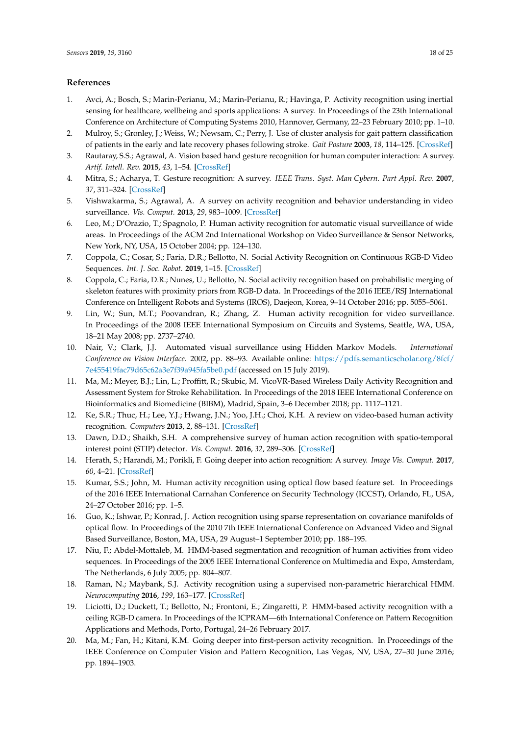#### **References**

- <span id="page-17-0"></span>1. Avci, A.; Bosch, S.; Marin-Perianu, M.; Marin-Perianu, R.; Havinga, P. Activity recognition using inertial sensing for healthcare, wellbeing and sports applications: A survey. In Proceedings of the 23th International Conference on Architecture of Computing Systems 2010, Hannover, Germany, 22–23 February 2010; pp. 1–10.
- <span id="page-17-1"></span>2. Mulroy, S.; Gronley, J.; Weiss, W.; Newsam, C.; Perry, J. Use of cluster analysis for gait pattern classification of patients in the early and late recovery phases following stroke. *Gait Posture* **2003**, *18*, 114–125. [\[CrossRef\]](http://dx.doi.org/10.1016/S0966-6362(02)00165-0)
- <span id="page-17-2"></span>3. Rautaray, S.S.; Agrawal, A. Vision based hand gesture recognition for human computer interaction: A survey. *Artif. Intell. Rev.* **2015**, *43*, 1–54. [\[CrossRef\]](http://dx.doi.org/10.1007/s10462-012-9356-9)
- <span id="page-17-3"></span>4. Mitra, S.; Acharya, T. Gesture recognition: A survey. *IEEE Trans. Syst. Man Cybern. Part Appl. Rev.* **2007**, *37*, 311–324. [\[CrossRef\]](http://dx.doi.org/10.1109/TSMCC.2007.893280)
- <span id="page-17-4"></span>5. Vishwakarma, S.; Agrawal, A. A survey on activity recognition and behavior understanding in video surveillance. *Vis. Comput.* **2013**, *29*, 983–1009. [\[CrossRef\]](http://dx.doi.org/10.1007/s00371-012-0752-6)
- <span id="page-17-5"></span>6. Leo, M.; D'Orazio, T.; Spagnolo, P. Human activity recognition for automatic visual surveillance of wide areas. In Proceedings of the ACM 2nd International Workshop on Video Surveillance & Sensor Networks, New York, NY, USA, 15 October 2004; pp. 124–130.
- <span id="page-17-6"></span>7. Coppola, C.; Cosar, S.; Faria, D.R.; Bellotto, N. Social Activity Recognition on Continuous RGB-D Video Sequences. *Int. J. Soc. Robot.* **2019**, 1–15. [\[CrossRef\]](http://dx.doi.org/10.1007/s12369-019-00541-y)
- <span id="page-17-7"></span>8. Coppola, C.; Faria, D.R.; Nunes, U.; Bellotto, N. Social activity recognition based on probabilistic merging of skeleton features with proximity priors from RGB-D data. In Proceedings of the 2016 IEEE/RSJ International Conference on Intelligent Robots and Systems (IROS), Daejeon, Korea, 9–14 October 2016; pp. 5055–5061.
- <span id="page-17-8"></span>9. Lin, W.; Sun, M.T.; Poovandran, R.; Zhang, Z. Human activity recognition for video surveillance. In Proceedings of the 2008 IEEE International Symposium on Circuits and Systems, Seattle, WA, USA, 18–21 May 2008; pp. 2737–2740.
- <span id="page-17-9"></span>10. Nair, V.; Clark, J.J. Automated visual surveillance using Hidden Markov Models. *International Conference on Vision Interface*. 2002, pp. 88–93. Available online: [https://pdfs.semanticscholar.org/8fcf/](https://pdfs.semanticscholar.org/8fcf/7e455419fac79d65c62a3e7f39a945fa5be0.pdf) [7e455419fac79d65c62a3e7f39a945fa5be0.pdf](https://pdfs.semanticscholar.org/8fcf/7e455419fac79d65c62a3e7f39a945fa5be0.pdf) (accessed on 15 July 2019).
- <span id="page-17-10"></span>11. Ma, M.; Meyer, B.J.; Lin, L.; Proffitt, R.; Skubic, M. VicoVR-Based Wireless Daily Activity Recognition and Assessment System for Stroke Rehabilitation. In Proceedings of the 2018 IEEE International Conference on Bioinformatics and Biomedicine (BIBM), Madrid, Spain, 3–6 December 2018; pp. 1117–1121.
- <span id="page-17-11"></span>12. Ke, S.R.; Thuc, H.; Lee, Y.J.; Hwang, J.N.; Yoo, J.H.; Choi, K.H. A review on video-based human activity recognition. *Computers* **2013**, *2*, 88–131. [\[CrossRef\]](http://dx.doi.org/10.3390/computers2020088)
- 13. Dawn, D.D.; Shaikh, S.H. A comprehensive survey of human action recognition with spatio-temporal interest point (STIP) detector. *Vis. Comput.* **2016**, *32*, 289–306. [\[CrossRef\]](http://dx.doi.org/10.1007/s00371-015-1066-2)
- <span id="page-17-12"></span>14. Herath, S.; Harandi, M.; Porikli, F. Going deeper into action recognition: A survey. *Image Vis. Comput.* **2017**, *60*, 4–21. [\[CrossRef\]](http://dx.doi.org/10.1016/j.imavis.2017.01.010)
- <span id="page-17-13"></span>15. Kumar, S.S.; John, M. Human activity recognition using optical flow based feature set. In Proceedings of the 2016 IEEE International Carnahan Conference on Security Technology (ICCST), Orlando, FL, USA, 24–27 October 2016; pp. 1–5.
- <span id="page-17-14"></span>16. Guo, K.; Ishwar, P.; Konrad, J. Action recognition using sparse representation on covariance manifolds of optical flow. In Proceedings of the 2010 7th IEEE International Conference on Advanced Video and Signal Based Surveillance, Boston, MA, USA, 29 August–1 September 2010; pp. 188–195.
- <span id="page-17-15"></span>17. Niu, F.; Abdel-Mottaleb, M. HMM-based segmentation and recognition of human activities from video sequences. In Proceedings of the 2005 IEEE International Conference on Multimedia and Expo, Amsterdam, The Netherlands, 6 July 2005; pp. 804–807.
- 18. Raman, N.; Maybank, S.J. Activity recognition using a supervised non-parametric hierarchical HMM. *Neurocomputing* **2016**, *199*, 163–177. [\[CrossRef\]](http://dx.doi.org/10.1016/j.neucom.2016.03.024)
- <span id="page-17-16"></span>19. Liciotti, D.; Duckett, T.; Bellotto, N.; Frontoni, E.; Zingaretti, P. HMM-based activity recognition with a ceiling RGB-D camera. In Proceedings of the ICPRAM—6th International Conference on Pattern Recognition Applications and Methods, Porto, Portugal, 24–26 February 2017.
- <span id="page-17-17"></span>20. Ma, M.; Fan, H.; Kitani, K.M. Going deeper into first-person activity recognition. In Proceedings of the IEEE Conference on Computer Vision and Pattern Recognition, Las Vegas, NV, USA, 27–30 June 2016; pp. 1894–1903.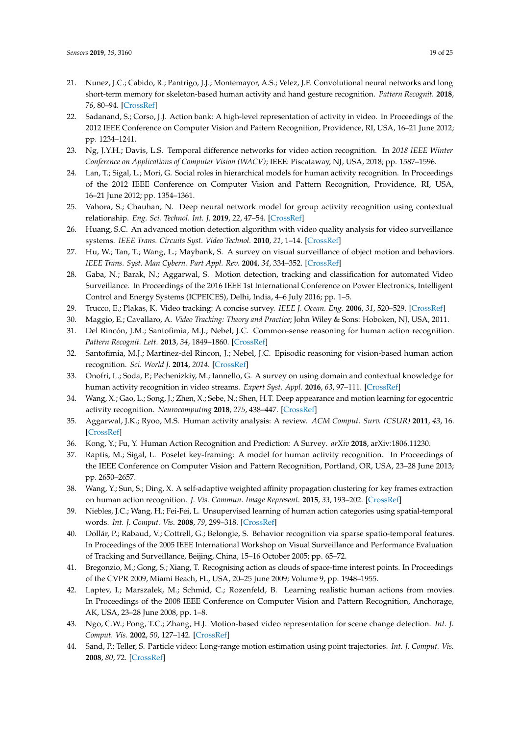- <span id="page-18-0"></span>21. Nunez, J.C.; Cabido, R.; Pantrigo, J.J.; Montemayor, A.S.; Velez, J.F. Convolutional neural networks and long short-term memory for skeleton-based human activity and hand gesture recognition. *Pattern Recognit.* **2018**, *76*, 80–94. [\[CrossRef\]](http://dx.doi.org/10.1016/j.patcog.2017.10.033)
- <span id="page-18-1"></span>22. Sadanand, S.; Corso, J.J. Action bank: A high-level representation of activity in video. In Proceedings of the 2012 IEEE Conference on Computer Vision and Pattern Recognition, Providence, RI, USA, 16–21 June 2012; pp. 1234–1241.
- <span id="page-18-2"></span>23. Ng, J.Y.H.; Davis, L.S. Temporal difference networks for video action recognition. In *2018 IEEE Winter Conference on Applications of Computer Vision (WACV)*; IEEE: Piscataway, NJ, USA, 2018; pp. 1587–1596.
- <span id="page-18-3"></span>24. Lan, T.; Sigal, L.; Mori, G. Social roles in hierarchical models for human activity recognition. In Proceedings of the 2012 IEEE Conference on Computer Vision and Pattern Recognition, Providence, RI, USA, 16–21 June 2012; pp. 1354–1361.
- <span id="page-18-4"></span>25. Vahora, S.; Chauhan, N. Deep neural network model for group activity recognition using contextual relationship. *Eng. Sci. Technol. Int. J.* **2019**, *22*, 47–54. [\[CrossRef\]](http://dx.doi.org/10.1016/j.jestch.2018.08.010)
- <span id="page-18-5"></span>26. Huang, S.C. An advanced motion detection algorithm with video quality analysis for video surveillance systems. *IEEE Trans. Circuits Syst. Video Technol.* **2010**, *21*, 1–14. [\[CrossRef\]](http://dx.doi.org/10.1109/TCSVT.2010.2087812)
- 27. Hu, W.; Tan, T.; Wang, L.; Maybank, S. A survey on visual surveillance of object motion and behaviors. *IEEE Trans. Syst. Man Cybern. Part Appl. Rev.* **2004**, *34*, 334–352. [\[CrossRef\]](http://dx.doi.org/10.1109/TSMCC.2004.829274)
- <span id="page-18-6"></span>28. Gaba, N.; Barak, N.; Aggarwal, S. Motion detection, tracking and classification for automated Video Surveillance. In Proceedings of the 2016 IEEE 1st International Conference on Power Electronics, Intelligent Control and Energy Systems (ICPEICES), Delhi, India, 4–6 July 2016; pp. 1–5.
- <span id="page-18-7"></span>29. Trucco, E.; Plakas, K. Video tracking: A concise survey. *IEEE J. Ocean. Eng.* **2006**, *31*, 520–529. [\[CrossRef\]](http://dx.doi.org/10.1109/JOE.2004.839933)
- <span id="page-18-8"></span>30. Maggio, E.; Cavallaro, A. *Video Tracking: Theory and Practice*; John Wiley & Sons: Hoboken, NJ, USA, 2011.
- <span id="page-18-9"></span>31. Del Rincón, J.M.; Santofimia, M.J.; Nebel, J.C. Common-sense reasoning for human action recognition. *Pattern Recognit. Lett.* **2013**, *34*, 1849–1860. [\[CrossRef\]](http://dx.doi.org/10.1016/j.patrec.2012.10.020)
- <span id="page-18-10"></span>32. Santofimia, M.J.; Martinez-del Rincon, J.; Nebel, J.C. Episodic reasoning for vision-based human action recognition. *Sci. World J.* **2014**, *2014*. [\[CrossRef\]](http://dx.doi.org/10.1155/2014/270171)
- <span id="page-18-11"></span>33. Onofri, L.; Soda, P.; Pechenizkiy, M.; Iannello, G. A survey on using domain and contextual knowledge for human activity recognition in video streams. *Expert Syst. Appl.* **2016**, *63*, 97–111. [\[CrossRef\]](http://dx.doi.org/10.1016/j.eswa.2016.06.011)
- <span id="page-18-12"></span>34. Wang, X.; Gao, L.; Song, J.; Zhen, X.; Sebe, N.; Shen, H.T. Deep appearance and motion learning for egocentric activity recognition. *Neurocomputing* **2018**, *275*, 438–447. [\[CrossRef\]](http://dx.doi.org/10.1016/j.neucom.2017.08.063)
- <span id="page-18-13"></span>35. Aggarwal, J.K.; Ryoo, M.S. Human activity analysis: A review. *ACM Comput. Surv. (CSUR)* **2011**, *43*, 16. [\[CrossRef\]](http://dx.doi.org/10.1145/1922649.1922653)
- <span id="page-18-14"></span>36. Kong, Y.; Fu, Y. Human Action Recognition and Prediction: A Survey. *arXiv* **2018**, arXiv:1806.11230.
- <span id="page-18-15"></span>37. Raptis, M.; Sigal, L. Poselet key-framing: A model for human activity recognition. In Proceedings of the IEEE Conference on Computer Vision and Pattern Recognition, Portland, OR, USA, 23–28 June 2013; pp. 2650–2657.
- <span id="page-18-16"></span>38. Wang, Y.; Sun, S.; Ding, X. A self-adaptive weighted affinity propagation clustering for key frames extraction on human action recognition. *J. Vis. Commun. Image Represent.* **2015**, *33*, 193–202. [\[CrossRef\]](http://dx.doi.org/10.1016/j.jvcir.2015.09.013)
- <span id="page-18-17"></span>39. Niebles, J.C.; Wang, H.; Fei-Fei, L. Unsupervised learning of human action categories using spatial-temporal words. *Int. J. Comput. Vis.* **2008**, *79*, 299–318. [\[CrossRef\]](http://dx.doi.org/10.1007/s11263-007-0122-4)
- <span id="page-18-18"></span>40. Dollár, P.; Rabaud, V.; Cottrell, G.; Belongie, S. Behavior recognition via sparse spatio-temporal features. In Proceedings of the 2005 IEEE International Workshop on Visual Surveillance and Performance Evaluation of Tracking and Surveillance, Beijing, China, 15–16 October 2005; pp. 65–72.
- <span id="page-18-19"></span>41. Bregonzio, M.; Gong, S.; Xiang, T. Recognising action as clouds of space-time interest points. In Proceedings of the CVPR 2009, Miami Beach, FL, USA, 20–25 June 2009; Volume 9, pp. 1948–1955.
- <span id="page-18-20"></span>42. Laptev, I.; Marszalek, M.; Schmid, C.; Rozenfeld, B. Learning realistic human actions from movies. In Proceedings of the 2008 IEEE Conference on Computer Vision and Pattern Recognition, Anchorage, AK, USA, 23–28 June 2008, pp. 1–8.
- <span id="page-18-21"></span>43. Ngo, C.W.; Pong, T.C.; Zhang, H.J. Motion-based video representation for scene change detection. *Int. J. Comput. Vis.* **2002**, *50*, 127–142. [\[CrossRef\]](http://dx.doi.org/10.1023/A:1020341931699)
- 44. Sand, P.; Teller, S. Particle video: Long-range motion estimation using point trajectories. *Int. J. Comput. Vis.* **2008**, *80*, 72. [\[CrossRef\]](http://dx.doi.org/10.1007/s11263-008-0136-6)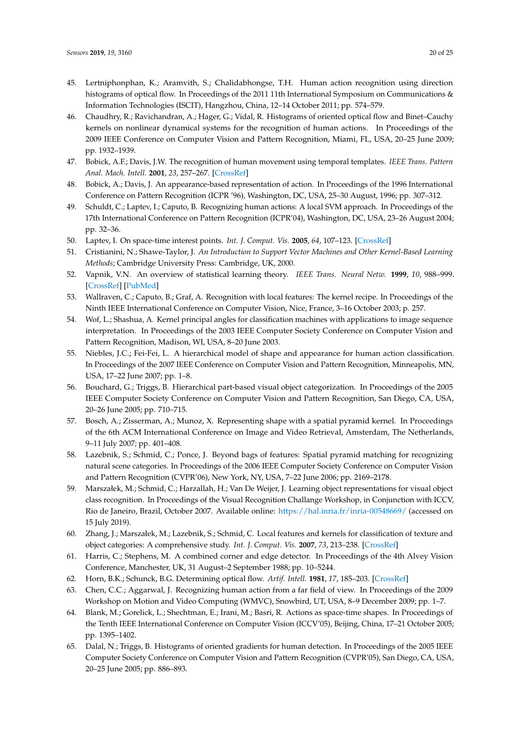- <span id="page-19-19"></span>45. Lertniphonphan, K.; Aramvith, S.; Chalidabhongse, T.H. Human action recognition using direction histograms of optical flow. In Proceedings of the 2011 11th International Symposium on Communications & Information Technologies (ISCIT), Hangzhou, China, 12–14 October 2011; pp. 574–579.
- <span id="page-19-0"></span>46. Chaudhry, R.; Ravichandran, A.; Hager, G.; Vidal, R. Histograms of oriented optical flow and Binet–Cauchy kernels on nonlinear dynamical systems for the recognition of human actions. In Proceedings of the 2009 IEEE Conference on Computer Vision and Pattern Recognition, Miami, FL, USA, 20–25 June 2009; pp. 1932–1939.
- <span id="page-19-1"></span>47. Bobick, A.F.; Davis, J.W. The recognition of human movement using temporal templates. *IEEE Trans. Pattern Anal. Mach. Intell.* **2001**, *23*, 257–267. [\[CrossRef\]](http://dx.doi.org/10.1109/34.910878)
- <span id="page-19-2"></span>48. Bobick, A.; Davis, J. An appearance-based representation of action. In Proceedings of the 1996 International Conference on Pattern Recognition (ICPR '96), Washington, DC, USA, 25–30 August, 1996; pp. 307–312.
- <span id="page-19-3"></span>49. Schuldt, C.; Laptev, I.; Caputo, B. Recognizing human actions: A local SVM approach. In Proceedings of the 17th International Conference on Pattern Recognition (ICPR'04), Washington, DC, USA, 23–26 August 2004; pp. 32–36.
- <span id="page-19-4"></span>50. Laptev, I. On space-time interest points. *Int. J. Comput. Vis.* **2005**, *64*, 107–123. [\[CrossRef\]](http://dx.doi.org/10.1007/s11263-005-1838-7)
- <span id="page-19-5"></span>51. Cristianini, N.; Shawe-Taylor, J. *An Introduction to Support Vector Machines and Other Kernel-Based Learning Methods*; Cambridge University Press: Cambridge, UK, 2000.
- <span id="page-19-6"></span>52. Vapnik, V.N. An overview of statistical learning theory. *IEEE Trans. Neural Netw.* **1999**, *10*, 988–999. [\[CrossRef\]](http://dx.doi.org/10.1109/72.788640) [\[PubMed\]](http://www.ncbi.nlm.nih.gov/pubmed/18252602)
- <span id="page-19-7"></span>53. Wallraven, C.; Caputo, B.; Graf, A. Recognition with local features: The kernel recipe. In Proceedings of the Ninth IEEE International Conference on Computer Vision, Nice, France, 3–16 October 2003; p. 257.
- <span id="page-19-8"></span>54. Wof, L.; Shashua, A. Kernel principal angles for classification machines with applications to image sequence interpretation. In Proceedings of the 2003 IEEE Computer Society Conference on Computer Vision and Pattern Recognition, Madison, WI, USA, 8–20 June 2003.
- <span id="page-19-9"></span>55. Niebles, J.C.; Fei-Fei, L. A hierarchical model of shape and appearance for human action classification. In Proceedings of the 2007 IEEE Conference on Computer Vision and Pattern Recognition, Minneapolis, MN, USA, 17–22 June 2007; pp. 1–8.
- <span id="page-19-10"></span>56. Bouchard, G.; Triggs, B. Hierarchical part-based visual object categorization. In Proceedings of the 2005 IEEE Computer Society Conference on Computer Vision and Pattern Recognition, San Diego, CA, USA, 20–26 June 2005; pp. 710–715.
- <span id="page-19-11"></span>57. Bosch, A.; Zisserman, A.; Munoz, X. Representing shape with a spatial pyramid kernel. In Proceedings of the 6th ACM International Conference on Image and Video Retrieval, Amsterdam, The Netherlands, 9–11 July 2007; pp. 401–408.
- <span id="page-19-13"></span>58. Lazebnik, S.; Schmid, C.; Ponce, J. Beyond bags of features: Spatial pyramid matching for recognizing natural scene categories. In Proceedings of the 2006 IEEE Computer Society Conference on Computer Vision and Pattern Recognition (CVPR'06), New York, NY, USA, 7–22 June 2006; pp. 2169–2178.
- 59. Marszałek, M.; Schmid, C.; Harzallah, H.; Van De Weijer, J. Learning object representations for visual object class recognition. In Proceedings of the Visual Recognition Challange Workshop, in Conjunction with ICCV, Rio de Janeiro, Brazil, October 2007. Available online: <https://hal.inria.fr/inria-00548669/> (accessed on 15 July 2019).
- <span id="page-19-12"></span>60. Zhang, J.; Marszałek, M.; Lazebnik, S.; Schmid, C. Local features and kernels for classification of texture and object categories: A comprehensive study. *Int. J. Comput. Vis.* **2007**, *73*, 213–238. [\[CrossRef\]](http://dx.doi.org/10.1007/s11263-006-9794-4)
- <span id="page-19-14"></span>61. Harris, C.; Stephens, M. A combined corner and edge detector. In Proceedings of the 4th Alvey Vision Conference, Manchester, UK, 31 August–2 September 1988; pp. 10–5244.
- <span id="page-19-15"></span>62. Horn, B.K.; Schunck, B.G. Determining optical flow. *Artif. Intell.* **1981**, *17*, 185–203. [\[CrossRef\]](http://dx.doi.org/10.1016/0004-3702(81)90024-2)
- <span id="page-19-16"></span>63. Chen, C.C.; Aggarwal, J. Recognizing human action from a far field of view. In Proceedings of the 2009 Workshop on Motion and Video Computing (WMVC), Snowbird, UT, USA, 8–9 December 2009; pp. 1–7.
- <span id="page-19-17"></span>64. Blank, M.; Gorelick, L.; Shechtman, E.; Irani, M.; Basri, R. Actions as space-time shapes. In Proceedings of the Tenth IEEE International Conference on Computer Vision (ICCV'05), Beijing, China, 17–21 October 2005; pp. 1395–1402.
- <span id="page-19-18"></span>65. Dalal, N.; Triggs, B. Histograms of oriented gradients for human detection. In Proceedings of the 2005 IEEE Computer Society Conference on Computer Vision and Pattern Recognition (CVPR'05), San Diego, CA, USA, 20–25 June 2005; pp. 886–893.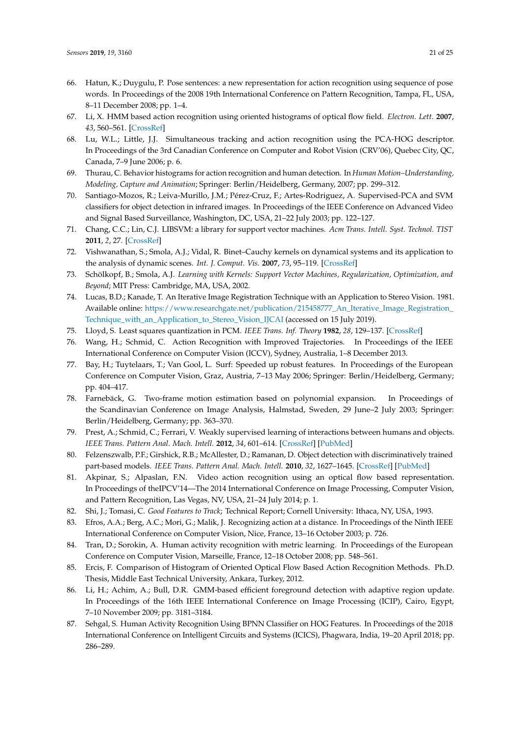- <span id="page-20-0"></span>66. Hatun, K.; Duygulu, P. Pose sentences: a new representation for action recognition using sequence of pose words. In Proceedings of the 2008 19th International Conference on Pattern Recognition, Tampa, FL, USA, 8–11 December 2008; pp. 1–4.
- 67. Li, X. HMM based action recognition using oriented histograms of optical flow field. *Electron. Lett.* **2007**, *43*, 560–561. [\[CrossRef\]](http://dx.doi.org/10.1049/el:20070027)
- 68. Lu, W.L.; Little, J.J. Simultaneous tracking and action recognition using the PCA-HOG descriptor. In Proceedings of the 3rd Canadian Conference on Computer and Robot Vision (CRV'06), Quebec City, QC, Canada, 7–9 June 2006; p. 6.
- <span id="page-20-1"></span>69. Thurau, C. Behavior histograms for action recognition and human detection. In *Human Motion–Understanding, Modeling, Capture and Animation*; Springer: Berlin/Heidelberg, Germany, 2007; pp. 299–312.
- <span id="page-20-2"></span>70. Santiago-Mozos, R.; Leiva-Murillo, J.M.; Pérez-Cruz, F.; Artes-Rodriguez, A. Supervised-PCA and SVM classifiers for object detection in infrared images. In Proceedings of the IEEE Conference on Advanced Video and Signal Based Surveillance, Washington, DC, USA, 21–22 July 2003; pp. 122–127.
- <span id="page-20-3"></span>71. Chang, C.C.; Lin, C.J. LIBSVM: a library for support vector machines. *Acm Trans. Intell. Syst. Technol. TIST* **2011**, *2*, 27. [\[CrossRef\]](http://dx.doi.org/10.1145/1961189.1961199)
- <span id="page-20-4"></span>72. Vishwanathan, S.; Smola, A.J.; Vidal, R. Binet–Cauchy kernels on dynamical systems and its application to the analysis of dynamic scenes. *Int. J. Comput. Vis.* **2007**, *73*, 95–119. [\[CrossRef\]](http://dx.doi.org/10.1007/s11263-006-9352-0)
- <span id="page-20-5"></span>73. Schölkopf, B.; Smola, A.J. *Learning with Kernels: Support Vector Machines, Regularization, Optimization, and Beyond*; MIT Press: Cambridge, MA, USA, 2002.
- <span id="page-20-6"></span>74. Lucas, B.D.; Kanade, T. An Iterative Image Registration Technique with an Application to Stereo Vision. 1981. Available online: [https://www.researchgate.net/publication/215458777\\_An\\_Iterative\\_Image\\_Registration\\_](https://www.researchgate.net/publication/215458777_An_Iterative_Image_Registration_Technique_with_an_Application_to_Stereo_Vision_IJCAI) [Technique\\_with\\_an\\_Application\\_to\\_Stereo\\_Vision\\_IJCAI](https://www.researchgate.net/publication/215458777_An_Iterative_Image_Registration_Technique_with_an_Application_to_Stereo_Vision_IJCAI) (accessed on 15 July 2019).
- <span id="page-20-7"></span>75. Lloyd, S. Least squares quantization in PCM. *IEEE Trans. Inf. Theory* **1982**, *28*, 129–137. [\[CrossRef\]](http://dx.doi.org/10.1109/TIT.1982.1056489)
- <span id="page-20-8"></span>76. Wang, H.; Schmid, C. Action Recognition with Improved Trajectories. In Proceedings of the IEEE International Conference on Computer Vision (ICCV), Sydney, Australia, 1–8 December 2013.
- <span id="page-20-9"></span>77. Bay, H.; Tuytelaars, T.; Van Gool, L. Surf: Speeded up robust features. In Proceedings of the European Conference on Computer Vision, Graz, Austria, 7–13 May 2006; Springer: Berlin/Heidelberg, Germany; pp. 404–417.
- <span id="page-20-10"></span>78. Farnebäck, G. Two-frame motion estimation based on polynomial expansion. In Proceedings of the Scandinavian Conference on Image Analysis, Halmstad, Sweden, 29 June–2 July 2003; Springer: Berlin/Heidelberg, Germany; pp. 363–370.
- <span id="page-20-11"></span>79. Prest, A.; Schmid, C.; Ferrari, V. Weakly supervised learning of interactions between humans and objects. *IEEE Trans. Pattern Anal. Mach. Intell.* **2012**, *34*, 601–614. [\[CrossRef\]](http://dx.doi.org/10.1109/TPAMI.2011.158) [\[PubMed\]](http://www.ncbi.nlm.nih.gov/pubmed/21808083)
- <span id="page-20-12"></span>80. Felzenszwalb, P.F.; Girshick, R.B.; McAllester, D.; Ramanan, D. Object detection with discriminatively trained part-based models. *IEEE Trans. Pattern Anal. Mach. Intell.* **2010**, *32*, 1627–1645. [\[CrossRef\]](http://dx.doi.org/10.1109/TPAMI.2009.167) [\[PubMed\]](http://www.ncbi.nlm.nih.gov/pubmed/20634557)
- <span id="page-20-13"></span>81. Akpinar, S.; Alpaslan, F.N. Video action recognition using an optical flow based representation. In Proceedings of theIPCV'14—The 2014 International Conference on Image Processing, Computer Vision, and Pattern Recognition, Las Vegas, NV, USA, 21–24 July 2014; p. 1.
- <span id="page-20-14"></span>82. Shi, J.; Tomasi, C. *Good Features to Track*; Technical Report; Cornell University: Ithaca, NY, USA, 1993.
- <span id="page-20-15"></span>83. Efros, A.A.; Berg, A.C.; Mori, G.; Malik, J. Recognizing action at a distance. In Proceedings of the Ninth IEEE International Conference on Computer Vision, Nice, France, 13–16 October 2003; p. 726.
- 84. Tran, D.; Sorokin, A. Human activity recognition with metric learning. In Proceedings of the European Conference on Computer Vision, Marseille, France, 12–18 October 2008; pp. 548–561.
- <span id="page-20-16"></span>85. Ercis, F. Comparison of Histogram of Oriented Optical Flow Based Action Recognition Methods. Ph.D. Thesis, Middle East Technical University, Ankara, Turkey, 2012.
- <span id="page-20-17"></span>86. Li, H.; Achim, A.; Bull, D.R. GMM-based efficient foreground detection with adaptive region update. In Proceedings of the 16th IEEE International Conference on Image Processing (ICIP), Cairo, Egypt, 7–10 November 2009; pp. 3181–3184.
- <span id="page-20-18"></span>87. Sehgal, S. Human Activity Recognition Using BPNN Classifier on HOG Features. In Proceedings of the 2018 International Conference on Intelligent Circuits and Systems (ICICS), Phagwara, India, 19–20 April 2018; pp. 286–289.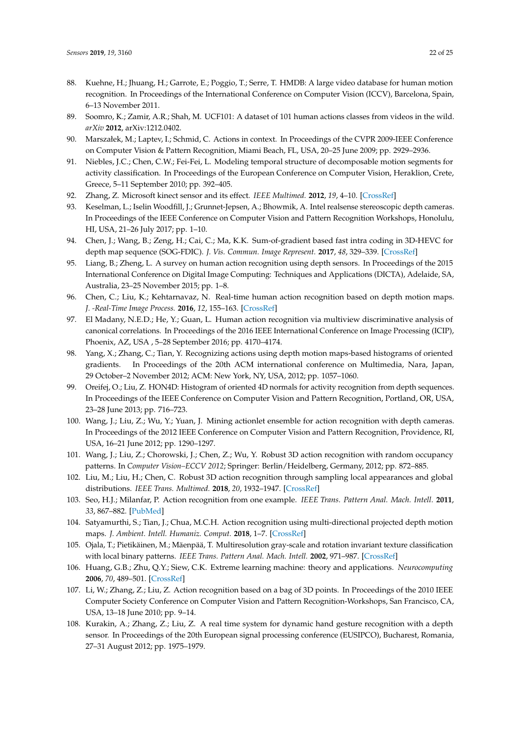- <span id="page-21-0"></span>88. Kuehne, H.; Jhuang, H.; Garrote, E.; Poggio, T.; Serre, T. HMDB: A large video database for human motion recognition. In Proceedings of the International Conference on Computer Vision (ICCV), Barcelona, Spain, 6–13 November 2011.
- <span id="page-21-1"></span>89. Soomro, K.; Zamir, A.R.; Shah, M. UCF101: A dataset of 101 human actions classes from videos in the wild. *arXiv* **2012**, arXiv:1212.0402.
- <span id="page-21-2"></span>90. Marszałek, M.; Laptev, I.; Schmid, C. Actions in context. In Proceedings of the CVPR 2009-IEEE Conference on Computer Vision & Pattern Recognition, Miami Beach, FL, USA, 20–25 June 2009; pp. 2929–2936.
- <span id="page-21-3"></span>91. Niebles, J.C.; Chen, C.W.; Fei-Fei, L. Modeling temporal structure of decomposable motion segments for activity classification. In Proceedings of the European Conference on Computer Vision, Heraklion, Crete, Greece, 5–11 September 2010; pp. 392–405.
- <span id="page-21-4"></span>92. Zhang, Z. Microsoft kinect sensor and its effect. *IEEE Multimed.* **2012**, *19*, 4–10. [\[CrossRef\]](http://dx.doi.org/10.1109/MMUL.2012.24)
- <span id="page-21-5"></span>93. Keselman, L.; Iselin Woodfill, J.; Grunnet-Jepsen, A.; Bhowmik, A. Intel realsense stereoscopic depth cameras. In Proceedings of the IEEE Conference on Computer Vision and Pattern Recognition Workshops, Honolulu, HI, USA, 21–26 July 2017; pp. 1–10.
- <span id="page-21-6"></span>94. Chen, J.; Wang, B.; Zeng, H.; Cai, C.; Ma, K.K. Sum-of-gradient based fast intra coding in 3D-HEVC for depth map sequence (SOG-FDIC). *J. Vis. Commun. Image Represent.* **2017**, *48*, 329–339. [\[CrossRef\]](http://dx.doi.org/10.1016/j.jvcir.2017.05.006)
- 95. Liang, B.; Zheng, L. A survey on human action recognition using depth sensors. In Proceedings of the 2015 International Conference on Digital Image Computing: Techniques and Applications (DICTA), Adelaide, SA, Australia, 23–25 November 2015; pp. 1–8.
- <span id="page-21-15"></span>96. Chen, C.; Liu, K.; Kehtarnavaz, N. Real-time human action recognition based on depth motion maps. *J. -Real-Time Image Process.* **2016**, *12*, 155–163. [\[CrossRef\]](http://dx.doi.org/10.1007/s11554-013-0370-1)
- <span id="page-21-7"></span>97. El Madany, N.E.D.; He, Y.; Guan, L. Human action recognition via multiview discriminative analysis of canonical correlations. In Proceedings of the 2016 IEEE International Conference on Image Processing (ICIP), Phoenix, AZ, USA , 5–28 September 2016; pp. 4170–4174.
- <span id="page-21-8"></span>98. Yang, X.; Zhang, C.; Tian, Y. Recognizing actions using depth motion maps-based histograms of oriented gradients. In Proceedings of the 20th ACM international conference on Multimedia, Nara, Japan, 29 October–2 November 2012; ACM: New York, NY, USA, 2012; pp. 1057–1060.
- <span id="page-21-9"></span>99. Oreifej, O.; Liu, Z. HON4D: Histogram of oriented 4D normals for activity recognition from depth sequences. In Proceedings of the IEEE Conference on Computer Vision and Pattern Recognition, Portland, OR, USA, 23–28 June 2013; pp. 716–723.
- <span id="page-21-10"></span>100. Wang, J.; Liu, Z.; Wu, Y.; Yuan, J. Mining actionlet ensemble for action recognition with depth cameras. In Proceedings of the 2012 IEEE Conference on Computer Vision and Pattern Recognition, Providence, RI, USA, 16–21 June 2012; pp. 1290–1297.
- <span id="page-21-11"></span>101. Wang, J.; Liu, Z.; Chorowski, J.; Chen, Z.; Wu, Y. Robust 3D action recognition with random occupancy patterns. In *Computer Vision–ECCV 2012*; Springer: Berlin/Heidelberg, Germany, 2012; pp. 872–885.
- <span id="page-21-12"></span>102. Liu, M.; Liu, H.; Chen, C. Robust 3D action recognition through sampling local appearances and global distributions. *IEEE Trans. Multimed.* **2018**, *20*, 1932–1947. [\[CrossRef\]](http://dx.doi.org/10.1109/TMM.2017.2786868)
- <span id="page-21-13"></span>103. Seo, H.J.; Milanfar, P. Action recognition from one example. *IEEE Trans. Pattern Anal. Mach. Intell.* **2011**, *33*, 867–882. [\[PubMed\]](http://www.ncbi.nlm.nih.gov/pubmed/20733220)
- <span id="page-21-14"></span>104. Satyamurthi, S.; Tian, J.; Chua, M.C.H. Action recognition using multi-directional projected depth motion maps. *J. Ambient. Intell. Humaniz. Comput.* **2018**, 1–7. [\[CrossRef\]](http://dx.doi.org/10.1007/s12652-018-1136-1)
- <span id="page-21-16"></span>105. Ojala, T.; Pietikäinen, M.; Mäenpää, T. Multiresolution gray-scale and rotation invariant texture classification with local binary patterns. *IEEE Trans. Pattern Anal. Mach. Intell.* **2002**, 971–987. [\[CrossRef\]](http://dx.doi.org/10.1109/TPAMI.2002.1017623)
- <span id="page-21-17"></span>106. Huang, G.B.; Zhu, Q.Y.; Siew, C.K. Extreme learning machine: theory and applications. *Neurocomputing* **2006**, *70*, 489–501. [\[CrossRef\]](http://dx.doi.org/10.1016/j.neucom.2005.12.126)
- <span id="page-21-18"></span>107. Li, W.; Zhang, Z.; Liu, Z. Action recognition based on a bag of 3D points. In Proceedings of the 2010 IEEE Computer Society Conference on Computer Vision and Pattern Recognition-Workshops, San Francisco, CA, USA, 13–18 June 2010; pp. 9–14.
- <span id="page-21-19"></span>108. Kurakin, A.; Zhang, Z.; Liu, Z. A real time system for dynamic hand gesture recognition with a depth sensor. In Proceedings of the 20th European signal processing conference (EUSIPCO), Bucharest, Romania, 27–31 August 2012; pp. 1975–1979.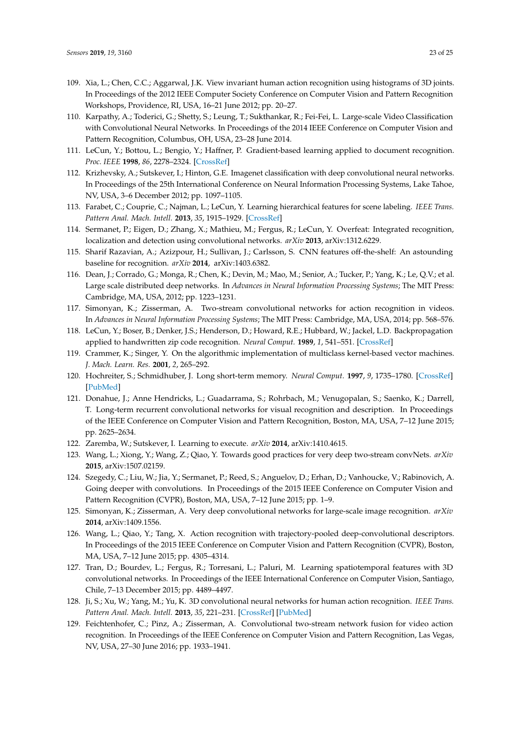- <span id="page-22-0"></span>109. Xia, L.; Chen, C.C.; Aggarwal, J.K. View invariant human action recognition using histograms of 3D joints. In Proceedings of the 2012 IEEE Computer Society Conference on Computer Vision and Pattern Recognition Workshops, Providence, RI, USA, 16–21 June 2012; pp. 20–27.
- <span id="page-22-1"></span>110. Karpathy, A.; Toderici, G.; Shetty, S.; Leung, T.; Sukthankar, R.; Fei-Fei, L. Large-scale Video Classification with Convolutional Neural Networks. In Proceedings of the 2014 IEEE Conference on Computer Vision and Pattern Recognition, Columbus, OH, USA, 23–28 June 2014.
- <span id="page-22-2"></span>111. LeCun, Y.; Bottou, L.; Bengio, Y.; Haffner, P. Gradient-based learning applied to document recognition. *Proc. IEEE* **1998**, *86*, 2278–2324. [\[CrossRef\]](http://dx.doi.org/10.1109/5.726791)
- <span id="page-22-3"></span>112. Krizhevsky, A.; Sutskever, I.; Hinton, G.E. Imagenet classification with deep convolutional neural networks. In Proceedings of the 25th International Conference on Neural Information Processing Systems, Lake Tahoe, NV, USA, 3–6 December 2012; pp. 1097–1105.
- 113. Farabet, C.; Couprie, C.; Najman, L.; LeCun, Y. Learning hierarchical features for scene labeling. *IEEE Trans. Pattern Anal. Mach. Intell.* **2013**, *35*, 1915–1929. [\[CrossRef\]](http://dx.doi.org/10.1109/TPAMI.2012.231)
- 114. Sermanet, P.; Eigen, D.; Zhang, X.; Mathieu, M.; Fergus, R.; LeCun, Y. Overfeat: Integrated recognition, localization and detection using convolutional networks. *arXiv* **2013**, arXiv:1312.6229.
- <span id="page-22-4"></span>115. Sharif Razavian, A.; Azizpour, H.; Sullivan, J.; Carlsson, S. CNN features off-the-shelf: An astounding baseline for recognition. *arXiv* **2014**, arXiv:1403.6382.
- <span id="page-22-5"></span>116. Dean, J.; Corrado, G.; Monga, R.; Chen, K.; Devin, M.; Mao, M.; Senior, A.; Tucker, P.; Yang, K.; Le, Q.V.; et al. Large scale distributed deep networks. In *Advances in Neural Information Processing Systems*; The MIT Press: Cambridge, MA, USA, 2012; pp. 1223–1231.
- <span id="page-22-6"></span>117. Simonyan, K.; Zisserman, A. Two-stream convolutional networks for action recognition in videos. In *Advances in Neural Information Processing Systems*; The MIT Press: Cambridge, MA, USA, 2014; pp. 568–576.
- <span id="page-22-7"></span>118. LeCun, Y.; Boser, B.; Denker, J.S.; Henderson, D.; Howard, R.E.; Hubbard, W.; Jackel, L.D. Backpropagation applied to handwritten zip code recognition. *Neural Comput.* **1989**, *1*, 541–551. [\[CrossRef\]](http://dx.doi.org/10.1162/neco.1989.1.4.541)
- <span id="page-22-8"></span>119. Crammer, K.; Singer, Y. On the algorithmic implementation of multiclass kernel-based vector machines. *J. Mach. Learn. Res.* **2001**, *2*, 265–292.
- <span id="page-22-9"></span>120. Hochreiter, S.; Schmidhuber, J. Long short-term memory. *Neural Comput.* **1997**, *9*, 1735–1780. [\[CrossRef\]](http://dx.doi.org/10.1162/neco.1997.9.8.1735) [\[PubMed\]](http://www.ncbi.nlm.nih.gov/pubmed/9377276)
- <span id="page-22-10"></span>121. Donahue, J.; Anne Hendricks, L.; Guadarrama, S.; Rohrbach, M.; Venugopalan, S.; Saenko, K.; Darrell, T. Long-term recurrent convolutional networks for visual recognition and description. In Proceedings of the IEEE Conference on Computer Vision and Pattern Recognition, Boston, MA, USA, 7–12 June 2015; pp. 2625–2634.
- <span id="page-22-11"></span>122. Zaremba, W.; Sutskever, I. Learning to execute. *arXiv* **2014**, arXiv:1410.4615.
- <span id="page-22-12"></span>123. Wang, L.; Xiong, Y.; Wang, Z.; Qiao, Y. Towards good practices for very deep two-stream convNets. *arXiv* **2015**, arXiv:1507.02159.
- <span id="page-22-13"></span>124. Szegedy, C.; Liu, W.; Jia, Y.; Sermanet, P.; Reed, S.; Anguelov, D.; Erhan, D.; Vanhoucke, V.; Rabinovich, A. Going deeper with convolutions. In Proceedings of the 2015 IEEE Conference on Computer Vision and Pattern Recognition (CVPR), Boston, MA, USA, 7–12 June 2015; pp. 1–9.
- <span id="page-22-14"></span>125. Simonyan, K.; Zisserman, A. Very deep convolutional networks for large-scale image recognition. *arXiv* **2014**, arXiv:1409.1556.
- <span id="page-22-15"></span>126. Wang, L.; Qiao, Y.; Tang, X. Action recognition with trajectory-pooled deep-convolutional descriptors. In Proceedings of the 2015 IEEE Conference on Computer Vision and Pattern Recognition (CVPR), Boston, MA, USA, 7–12 June 2015; pp. 4305–4314.
- <span id="page-22-16"></span>127. Tran, D.; Bourdev, L.; Fergus, R.; Torresani, L.; Paluri, M. Learning spatiotemporal features with 3D convolutional networks. In Proceedings of the IEEE International Conference on Computer Vision, Santiago, Chile, 7–13 December 2015; pp. 4489–4497.
- <span id="page-22-17"></span>128. Ji, S.; Xu, W.; Yang, M.; Yu, K. 3D convolutional neural networks for human action recognition. *IEEE Trans. Pattern Anal. Mach. Intell.* **2013**, *35*, 221–231. [\[CrossRef\]](http://dx.doi.org/10.1109/TPAMI.2012.59) [\[PubMed\]](http://www.ncbi.nlm.nih.gov/pubmed/22392705)
- <span id="page-22-18"></span>129. Feichtenhofer, C.; Pinz, A.; Zisserman, A. Convolutional two-stream network fusion for video action recognition. In Proceedings of the IEEE Conference on Computer Vision and Pattern Recognition, Las Vegas, NV, USA, 27–30 June 2016; pp. 1933–1941.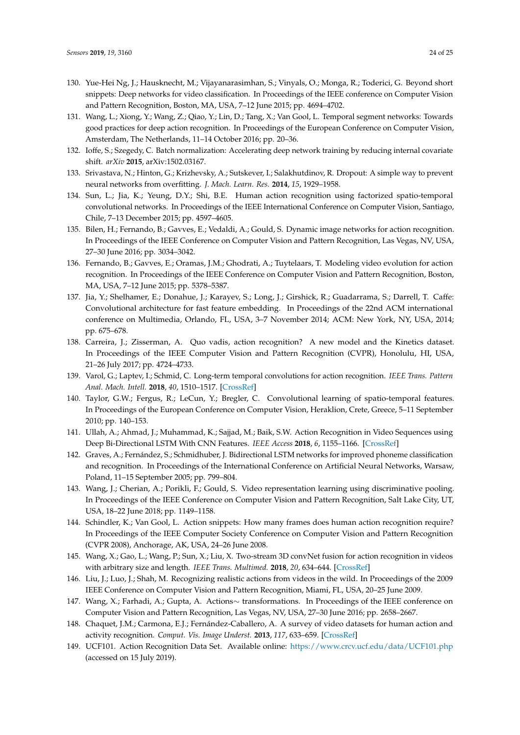- <span id="page-23-0"></span>130. Yue-Hei Ng, J.; Hausknecht, M.; Vijayanarasimhan, S.; Vinyals, O.; Monga, R.; Toderici, G. Beyond short snippets: Deep networks for video classification. In Proceedings of the IEEE conference on Computer Vision and Pattern Recognition, Boston, MA, USA, 7–12 June 2015; pp. 4694–4702.
- <span id="page-23-1"></span>131. Wang, L.; Xiong, Y.; Wang, Z.; Qiao, Y.; Lin, D.; Tang, X.; Van Gool, L. Temporal segment networks: Towards good practices for deep action recognition. In Proceedings of the European Conference on Computer Vision, Amsterdam, The Netherlands, 11–14 October 2016; pp. 20–36.
- <span id="page-23-2"></span>132. Ioffe, S.; Szegedy, C. Batch normalization: Accelerating deep network training by reducing internal covariate shift. *arXiv* **2015**, arXiv:1502.03167.
- <span id="page-23-3"></span>133. Srivastava, N.; Hinton, G.; Krizhevsky, A.; Sutskever, I.; Salakhutdinov, R. Dropout: A simple way to prevent neural networks from overfitting. *J. Mach. Learn. Res.* **2014**, *15*, 1929–1958.
- <span id="page-23-4"></span>134. Sun, L.; Jia, K.; Yeung, D.Y.; Shi, B.E. Human action recognition using factorized spatio-temporal convolutional networks. In Proceedings of the IEEE International Conference on Computer Vision, Santiago, Chile, 7–13 December 2015; pp. 4597–4605.
- <span id="page-23-5"></span>135. Bilen, H.; Fernando, B.; Gavves, E.; Vedaldi, A.; Gould, S. Dynamic image networks for action recognition. In Proceedings of the IEEE Conference on Computer Vision and Pattern Recognition, Las Vegas, NV, USA, 27–30 June 2016; pp. 3034–3042.
- <span id="page-23-6"></span>136. Fernando, B.; Gavves, E.; Oramas, J.M.; Ghodrati, A.; Tuytelaars, T. Modeling video evolution for action recognition. In Proceedings of the IEEE Conference on Computer Vision and Pattern Recognition, Boston, MA, USA, 7–12 June 2015; pp. 5378–5387.
- <span id="page-23-7"></span>137. Jia, Y.; Shelhamer, E.; Donahue, J.; Karayev, S.; Long, J.; Girshick, R.; Guadarrama, S.; Darrell, T. Caffe: Convolutional architecture for fast feature embedding. In Proceedings of the 22nd ACM international conference on Multimedia, Orlando, FL, USA, 3–7 November 2014; ACM: New York, NY, USA, 2014; pp. 675–678.
- <span id="page-23-8"></span>138. Carreira, J.; Zisserman, A. Quo vadis, action recognition? A new model and the Kinetics dataset. In Proceedings of the IEEE Computer Vision and Pattern Recognition (CVPR), Honolulu, HI, USA, 21–26 July 2017; pp. 4724–4733.
- <span id="page-23-9"></span>139. Varol, G.; Laptev, I.; Schmid, C. Long-term temporal convolutions for action recognition. *IEEE Trans. Pattern Anal. Mach. Intell.* **2018**, *40*, 1510–1517. [\[CrossRef\]](http://dx.doi.org/10.1109/TPAMI.2017.2712608)
- <span id="page-23-10"></span>140. Taylor, G.W.; Fergus, R.; LeCun, Y.; Bregler, C. Convolutional learning of spatio-temporal features. In Proceedings of the European Conference on Computer Vision, Heraklion, Crete, Greece, 5–11 September 2010; pp. 140–153.
- <span id="page-23-11"></span>141. Ullah, A.; Ahmad, J.; Muhammad, K.; Sajjad, M.; Baik, S.W. Action Recognition in Video Sequences using Deep Bi-Directional LSTM With CNN Features. *IEEE Access* **2018**, *6*, 1155–1166. [\[CrossRef\]](http://dx.doi.org/10.1109/ACCESS.2017.2778011)
- <span id="page-23-12"></span>142. Graves, A.; Fernández, S.; Schmidhuber, J. Bidirectional LSTM networks for improved phoneme classification and recognition. In Proceedings of the International Conference on Artificial Neural Networks, Warsaw, Poland, 11–15 September 2005; pp. 799–804.
- <span id="page-23-13"></span>143. Wang, J.; Cherian, A.; Porikli, F.; Gould, S. Video representation learning using discriminative pooling. In Proceedings of the IEEE Conference on Computer Vision and Pattern Recognition, Salt Lake City, UT, USA, 18–22 June 2018; pp. 1149–1158.
- <span id="page-23-14"></span>144. Schindler, K.; Van Gool, L. Action snippets: How many frames does human action recognition require? In Proceedings of the IEEE Computer Society Conference on Computer Vision and Pattern Recognition (CVPR 2008), Anchorage, AK, USA, 24–26 June 2008.
- <span id="page-23-15"></span>145. Wang, X.; Gao, L.; Wang, P.; Sun, X.; Liu, X. Two-stream 3D convNet fusion for action recognition in videos with arbitrary size and length. *IEEE Trans. Multimed.* **2018**, *20*, 634–644. [\[CrossRef\]](http://dx.doi.org/10.1109/TMM.2017.2749159)
- <span id="page-23-16"></span>146. Liu, J.; Luo, J.; Shah, M. Recognizing realistic actions from videos in the wild. In Proceedings of the 2009 IEEE Conference on Computer Vision and Pattern Recognition, Miami, FL, USA, 20–25 June 2009.
- <span id="page-23-17"></span>147. Wang, X.; Farhadi, A.; Gupta, A. Actions∼ transformations. In Proceedings of the IEEE conference on Computer Vision and Pattern Recognition, Las Vegas, NV, USA, 27–30 June 2016; pp. 2658–2667.
- <span id="page-23-18"></span>148. Chaquet, J.M.; Carmona, E.J.; Fernández-Caballero, A. A survey of video datasets for human action and activity recognition. *Comput. Vis. Image Underst.* **2013**, *117*, 633–659. [\[CrossRef\]](http://dx.doi.org/10.1016/j.cviu.2013.01.013)
- <span id="page-23-19"></span>149. UCF101. Action Recognition Data Set. Available online: <https://www.crcv.ucf.edu/data/UCF101.php> (accessed on 15 July 2019).